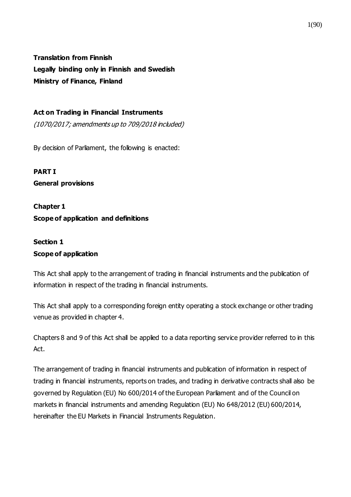**Translation from Finnish Legally binding only in Finnish and Swedish Ministry of Finance, Finland**

### **Act on Trading in Financial Instruments**

(1070/2017; amendments up to 709/2018 included)

By decision of Parliament, the following is enacted:

**PART I General provisions**

**Chapter 1 Scope of application and definitions**

## **Section 1 Scope of application**

This Act shall apply to the arrangement of trading in financial instruments and the publication of information in respect of the trading in financial instruments.

This Act shall apply to a corresponding foreign entity operating a stock exchange or other trading venue as provided in chapter 4.

Chapters 8 and 9 of this Act shall be applied to a data reporting service provider referred to in this Act.

The arrangement of trading in financial instruments and publication of information in respect of trading in financial instruments, reports on trades, and trading in derivative contracts shall also be governed by Regulation (EU) No 600/2014 of the European Parliament and of the Council on markets in financial instruments and amending Regulation (EU) No 648/2012 (EU) 600/2014, hereinafter the EU Markets in Financial Instruments Regulation.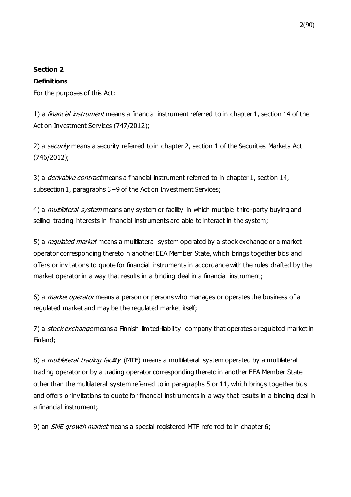### **Section 2**

### **Definitions**

For the purposes of this Act:

1) a *financial instrument* means a financial instrument referred to in chapter 1, section 14 of the Act on Investment Services (747/2012);

2) a *security* means a security referred to in chapter 2, section 1 of the Securities Markets Act (746/2012);

3) a *derivative contract* means a financial instrument referred to in chapter 1, section 14, subsection 1, paragraphs 3−9 of the Act on Investment Services;

4) a *multilateral system* means any system or facility in which multiple third-party buying and selling trading interests in financial instruments are able to interact in the system;

5) a *regulated market* means a multilateral system operated by a stock exchange or a market operator corresponding thereto in another EEA Member State, which brings together bids and offers or invitations to quote for financial instruments in accordance with the rules drafted by the market operator in a way that results in a binding deal in a financial instrument;

6) a market operator means a person or persons who manages or operates the business of a regulated market and may be the regulated market itself;

7) a stock exchange means a Finnish limited-liability company that operates a regulated market in Finland;

8) a *multilateral trading facility* (MTF) means a multilateral system operated by a multilateral trading operator or by a trading operator corresponding thereto in another EEA Member State other than the multilateral system referred to in paragraphs 5 or 11, which brings together bids and offers or invitations to quote for financial instruments in a way that results in a binding deal in a financial instrument;

9) an SME growth market means a special registered MTF referred to in chapter 6;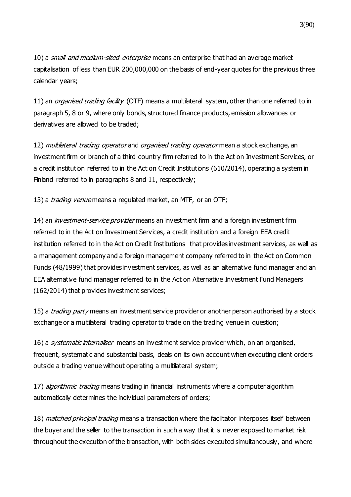10) a *small and medium-sized enterprise* means an enterprise that had an average market capitalisation of less than EUR 200,000,000 on the basis of end-year quotes for the previous three calendar years;

11) an *organised trading facility* (OTF) means a multilateral system, other than one referred to in paragraph 5, 8 or 9, where only bonds, structured finance products, emission allowances or derivatives are allowed to be traded;

12) multilateral trading operator and organised trading operator mean a stock exchange, an investment firm or branch of a third country firm referred to in the Act on Investment Services, or a credit institution referred to in the Act on Credit Institutions (610/2014), operating a system in Finland referred to in paragraphs 8 and 11, respectively;

13) a *trading venue* means a regulated market, an MTF, or an OTF;

14) an *investment-service provider* means an investment firm and a foreign investment firm referred to in the Act on Investment Services, a credit institution and a foreign EEA credit institution referred to in the Act on Credit Institutions that provides investment services, as well as a management company and a foreign management company referred to in the Act on Common Funds (48/1999) that provides investment services, as well as an alternative fund manager and an EEA alternative fund manager referred to in the Act on Alternative Investment Fund Managers (162/2014) that provides investment services;

15) a *trading party* means an investment service provider or another person authorised by a stock exchange or a multilateral trading operator to trade on the trading venue in question;

16) a *systematic internaliser* means an investment service provider which, on an organised, frequent, systematic and substantial basis, deals on its own account when executing client orders outside a trading venue without operating a multilateral system;

17) *algorithmic trading* means trading in financial instruments where a computer algorithm automatically determines the individual parameters of orders;

18) matched principal trading means a transaction where the facilitator interposes itself between the buyer and the seller to the transaction in such a way that it is never exposed to market risk throughout the execution of the transaction, with both sides executed simultaneously, and where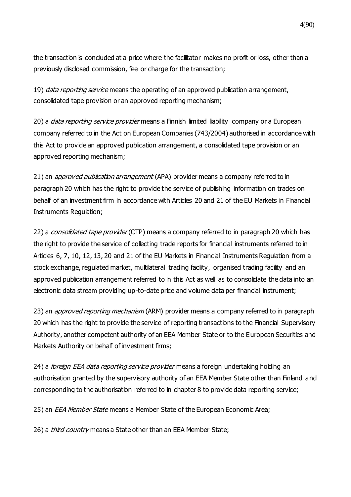the transaction is concluded at a price where the facilitator makes no profit or loss, other than a previously disclosed commission, fee or charge for the transaction;

19) *data reporting service* means the operating of an approved publication arrangement, consolidated tape provision or an approved reporting mechanism;

20) a *data reporting service provider* means a Finnish limited liability company or a European company referred to in the Act on European Companies (743/2004) authorised in accordance with this Act to provide an approved publication arrangement, a consolidated tape provision or an approved reporting mechanism;

21) an *approved publication arrangement* (APA) provider means a company referred to in paragraph 20 which has the right to provide the service of publishing information on trades on behalf of an investment firm in accordance with Articles 20 and 21 of the EU Markets in Financial Instruments Regulation;

22) a *consolidated tape provider* (CTP) means a company referred to in paragraph 20 which has the right to provide the service of collecting trade reports for financial instruments referred to in Articles 6, 7, 10, 12, 13, 20 and 21 of the EU Markets in Financial Instruments Regulation from a stock exchange, regulated market, multilateral trading facility, organised trading facility and an approved publication arrangement referred to in this Act as well as to consolidate the data into an electronic data stream providing up-to-date price and volume data per financial instrument;

23) an *approved reporting mechanism* (ARM) provider means a company referred to in paragraph 20 which has the right to provide the service of reporting transactions to the Financial Supervisory Authority, another competent authority of an EEA Member State or to the European Securities and Markets Authority on behalf of investment firms;

24) a *foreign EEA data reporting service provider* means a foreign undertaking holding an authorisation granted by the supervisory authority of an EEA Member State other than Finland and corresponding to the authorisation referred to in chapter 8 to provide data reporting service;

25) an *EEA Member State* means a Member State of the European Economic Area;

26) a *third country* means a State other than an EEA Member State;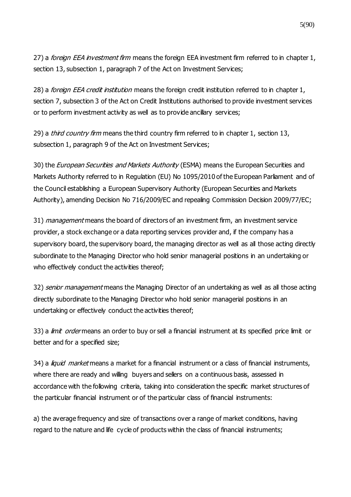27) a *foreign EEA investment firm* means the foreign EEA investment firm referred to in chapter 1, section 13, subsection 1, paragraph 7 of the Act on Investment Services;

28) a *foreign EEA credit institution* means the foreign credit institution referred to in chapter 1, section 7, subsection 3 of the Act on Credit Institutions authorised to provide investment services or to perform investment activity as well as to provide ancillary services;

29) a *third country firm* means the third country firm referred to in chapter 1, section 13, subsection 1, paragraph 9 of the Act on Investment Services;

30) the European Securities and Markets Authority (ESMA) means the European Securities and Markets Authority referred to in Regulation (EU) No 1095/2010 of the European Parliament and of the Council establishing a European Supervisory Authority (European Securities and Markets Authority), amending Decision No 716/2009/EC and repealing Commission Decision 2009/77/EC;

31) *management* means the board of directors of an investment firm, an investment service provider, a stock exchange or a data reporting services provider and, if the company has a supervisory board, the supervisory board, the managing director as well as all those acting directly subordinate to the Managing Director who hold senior managerial positions in an undertaking or who effectively conduct the activities thereof;

32) senior management means the Managing Director of an undertaking as well as all those acting directly subordinate to the Managing Director who hold senior managerial positions in an undertaking or effectively conduct the activities thereof;

33) a *limit order* means an order to buy or sell a financial instrument at its specified price limit or better and for a specified size;

34) a *liquid market* means a market for a financial instrument or a class of financial instruments, where there are ready and willing buyers and sellers on a continuous basis, assessed in accordance with the following criteria, taking into consideration the specific market structures of the particular financial instrument or of the particular class of financial instruments:

a) the average frequency and size of transactions over a range of market conditions, having regard to the nature and life cycle of products within the class of financial instruments;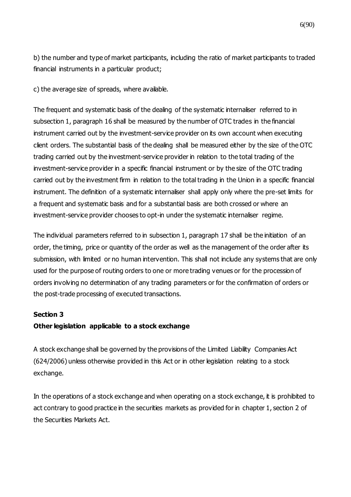b) the number and type of market participants, including the ratio of market participants to traded financial instruments in a particular product;

c) the average size of spreads, where available.

The frequent and systematic basis of the dealing of the systematic internaliser referred to in subsection 1, paragraph 16 shall be measured by the number of OTC trades in the financial instrument carried out by the investment-service provider on its own account when executing client orders. The substantial basis of the dealing shall be measured either by the size of the OTC trading carried out by the investment-service provider in relation to the total trading of the investment-service provider in a specific financial instrument or by the size of the OTC trading carried out by the investment firm in relation to the total trading in the Union in a specific financial instrument. The definition of a systematic internaliser shall apply only where the pre-set limits for a frequent and systematic basis and for a substantial basis are both crossed or where an investment-service provider chooses to opt-in under the systematic internaliser regime.

The individual parameters referred to in subsection 1, paragraph 17 shall be the initiation of an order, the timing, price or quantity of the order as well as the management of the order after its submission, with limited or no human intervention. This shall not include any systems that are only used for the purpose of routing orders to one or more trading venues or for the procession of orders involving no determination of any trading parameters or for the confirmation of orders or the post-trade processing of executed transactions.

#### **Section 3**

### **Other legislation applicable to a stock exchange**

A stock exchange shall be governed by the provisions of the Limited Liability Companies Act (624/2006) unless otherwise provided in this Act or in other legislation relating to a stock exchange.

In the operations of a stock exchange and when operating on a stock exchange, it is prohibited to act contrary to good practice in the securities markets as provided for in chapter 1, section 2 of the Securities Markets Act.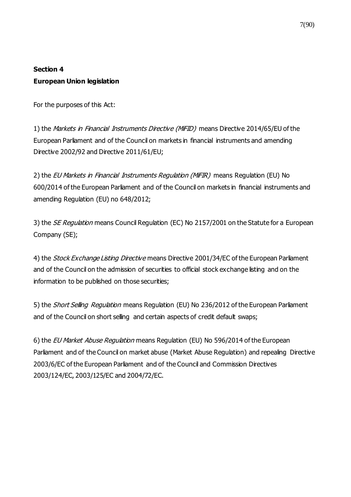## **Section 4 European Union legislation**

For the purposes of this Act:

1) the Markets in Financial Instruments Directive (MiFID) means Directive 2014/65/EU of the European Parliament and of the Council on markets in financial instruments and amending Directive 2002/92 and Directive 2011/61/EU;

2) the EU Markets in Financial Instruments Regulation (MIFIR) means Regulation (EU) No 600/2014 of the European Parliament and of the Council on markets in financial instruments and amending Regulation (EU) no 648/2012;

3) the *SE Regulation* means Council Regulation (EC) No 2157/2001 on the Statute for a European Company (SE);

4) the Stock Exchange Listing Directive means Directive 2001/34/EC of the European Parliament and of the Council on the admission of securities to official stock exchange listing and on the information to be published on those securities;

5) the *Short Selling Regulation* means Regulation (EU) No 236/2012 of the European Parliament and of the Council on short selling and certain aspects of credit default swaps;

6) the EU Market Abuse Regulation means Regulation (EU) No 596/2014 of the European Parliament and of the Council on market abuse (Market Abuse Regulation) and repealing Directive 2003/6/EC of the European Parliament and of the Council and Commission Directives 2003/124/EC, 2003/125/EC and 2004/72/EC.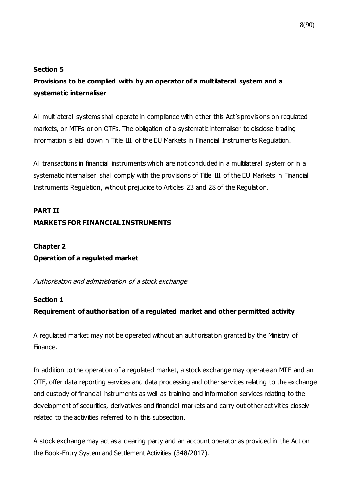#### **Section 5**

## **Provisions to be complied with by an operator of a multilateral system and a systematic internaliser**

All multilateral systems shall operate in compliance with either this Act's provisions on regulated markets, on MTFs or on OTFs. The obligation of a systematic internaliser to disclose trading information is laid down in Title  $III$  of the EU Markets in Financial Instruments Regulation.

All transactions in financial instruments which are not concluded in a multilateral system or in a systematic internaliser shall comply with the provisions of Title III of the EU Markets in Financial Instruments Regulation, without prejudice to Articles 23 and 28 of the Regulation.

# **PART II**

### **MARKETS FOR FINANCIAL INSTRUMENTS**

## **Chapter 2 Operation of a regulated market**

Authorisation and administration of a stock exchange

### **Section 1**

### **Requirement of authorisation of a regulated market and other permitted activity**

A regulated market may not be operated without an authorisation granted by the Ministry of Finance.

In addition to the operation of a regulated market, a stock exchange may operate an MTF and an OTF, offer data reporting services and data processing and other services relating to the exchange and custody of financial instruments as well as training and information services relating to the development of securities, derivatives and financial markets and carry out other activities closely related to the activities referred to in this subsection.

A stock exchange may act as a clearing party and an account operator as provided in the Act on the Book-Entry System and Settlement Activities (348/2017).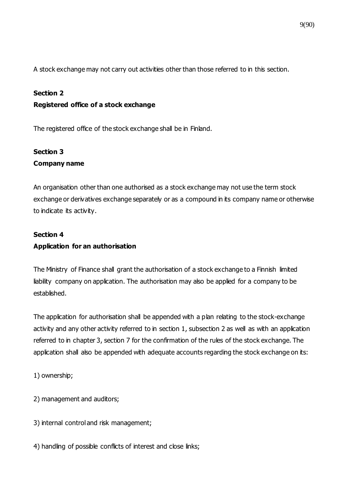A stock exchange may not carry out activities other than those referred to in this section.

### **Section 2**

### **Registered office of a stock exchange**

The registered office of the stock exchange shall be in Finland.

### **Section 3 Company name**

An organisation other than one authorised as a stock exchange may not use the term stock exchange or derivatives exchange separately or as a compound in its company name or otherwise to indicate its activity.

### **Section 4 Application for an authorisation**

The Ministry of Finance shall grant the authorisation of a stock exchange to a Finnish limited liability company on application. The authorisation may also be applied for a company to be established.

The application for authorisation shall be appended with a plan relating to the stock-exchange activity and any other activity referred to in section 1, subsection 2 as well as with an application referred to in chapter 3, section 7 for the confirmation of the rules of the stock exchange. The application shall also be appended with adequate accounts regarding the stock exchange on its:

1) ownership;

- 2) management and auditors;
- 3) internal control and risk management;
- 4) handling of possible conflicts of interest and close links;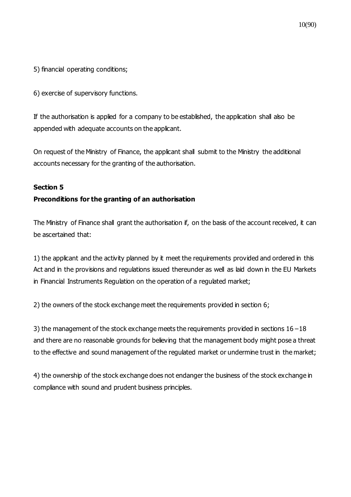5) financial operating conditions;

6) exercise of supervisory functions.

If the authorisation is applied for a company to be established, the application shall also be appended with adequate accounts on the applicant.

On request of the Ministry of Finance, the applicant shall submit to the Ministry the additional accounts necessary for the granting of the authorisation.

#### **Section 5**

### **Preconditions for the granting of an authorisation**

The Ministry of Finance shall grant the authorisation if, on the basis of the account received, it can be ascertained that:

1) the applicant and the activity planned by it meet the requirements provided and ordered in this Act and in the provisions and regulations issued thereunder as well as laid down in the EU Markets in Financial Instruments Regulation on the operation of a regulated market;

2) the owners of the stock exchange meet the requirements provided in section 6;

3) the management of the stock exchange meets the requirements provided in sections 16−18 and there are no reasonable grounds for believing that the management body might pose a threat to the effective and sound management of the regulated market or undermine trust in the market;

4) the ownership of the stock exchange does not endanger the business of the stock exchange in compliance with sound and prudent business principles.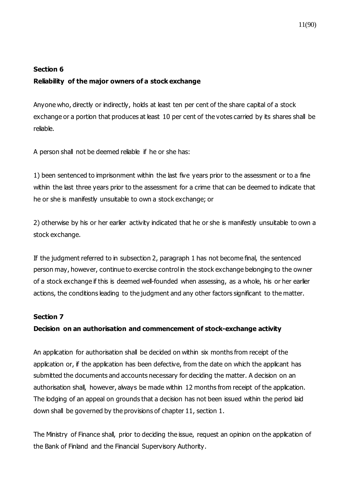## **Section 6 Reliability of the major owners of a stock exchange**

Anyone who, directly or indirectly, holds at least ten per cent of the share capital of a stock exchange or a portion that produces at least 10 per cent of the votes carried by its shares shall be reliable.

A person shall not be deemed reliable if he or she has:

1) been sentenced to imprisonment within the last five years prior to the assessment or to a fine within the last three years prior to the assessment for a crime that can be deemed to indicate that he or she is manifestly unsuitable to own a stock exchange; or

2) otherwise by his or her earlier activity indicated that he or she is manifestly unsuitable to own a stock exchange.

If the judgment referred to in subsection 2, paragraph 1 has not become final, the sentenced person may, however, continue to exercise control in the stock exchange belonging to the owner of a stock exchange if this is deemed well-founded when assessing, as a whole, his or her earlier actions, the conditions leading to the judgment and any other factors significant to the matter.

### **Section 7**

### **Decision on an authorisation and commencement of stock-exchange activity**

An application for authorisation shall be decided on within six months from receipt of the application or, if the application has been defective, from the date on which the applicant has submitted the documents and accounts necessary for deciding the matter. A decision on an authorisation shall, however, always be made within 12 months from receipt of the application. The lodging of an appeal on grounds that a decision has not been issued within the period laid down shall be governed by the provisions of chapter 11, section 1.

The Ministry of Finance shall, prior to deciding the issue, request an opinion on the application of the Bank of Finland and the Financial Supervisory Authority.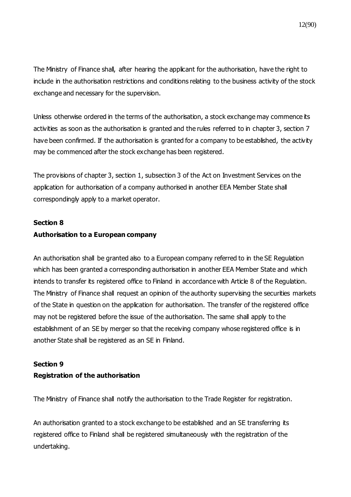The Ministry of Finance shall, after hearing the applicant for the authorisation, have the right to include in the authorisation restrictions and conditions relating to the business activity of the stock exchange and necessary for the supervision.

Unless otherwise ordered in the terms of the authorisation, a stock exchange may commence its activities as soon as the authorisation is granted and the rules referred to in chapter 3, section 7 have been confirmed. If the authorisation is granted for a company to be established, the activity may be commenced after the stock exchange has been registered.

The provisions of chapter 3, section 1, subsection 3 of the Act on Investment Services on the application for authorisation of a company authorised in another EEA Member State shall correspondingly apply to a market operator.

#### **Section 8**

### **Authorisation to a European company**

An authorisation shall be granted also to a European company referred to in the SE Regulation which has been granted a corresponding authorisation in another EEA Member State and which intends to transfer its registered office to Finland in accordance with Article 8 of the Regulation. The Ministry of Finance shall request an opinion of the authority supervising the securities markets of the State in question on the application for authorisation. The transfer of the registered office may not be registered before the issue of the authorisation. The same shall apply to the establishment of an SE by merger so that the receiving company whose registered office is in another State shall be registered as an SE in Finland.

### **Section 9 Registration of the authorisation**

The Ministry of Finance shall notify the authorisation to the Trade Register for registration.

An authorisation granted to a stock exchange to be established and an SE transferring its registered office to Finland shall be registered simultaneously with the registration of the undertaking.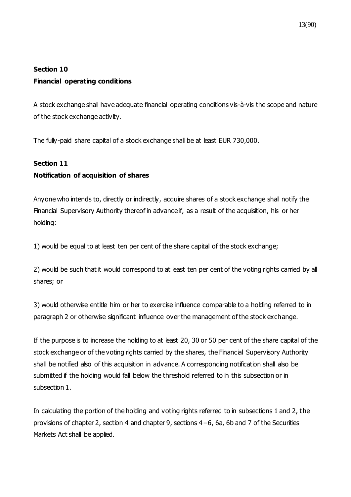## **Section 10 Financial operating conditions**

A stock exchange shall have adequate financial operating conditions vis-à-vis the scope and nature of the stock exchange activity.

The fully-paid share capital of a stock exchange shall be at least EUR 730,000.

### **Section 11**

### **Notification of acquisition of shares**

Anyone who intends to, directly or indirectly, acquire shares of a stock exchange shall notify the Financial Supervisory Authority thereof in advance if, as a result of the acquisition, his or her holding:

1) would be equal to at least ten per cent of the share capital of the stock exchange;

2) would be such that it would correspond to at least ten per cent of the voting rights carried by all shares; or

3) would otherwise entitle him or her to exercise influence comparable to a holding referred to in paragraph 2 or otherwise significant influence over the management of the stock exchange.

If the purpose is to increase the holding to at least 20, 30 or 50 per cent of the share capital of the stock exchange or of the voting rights carried by the shares, the Financial Supervisory Authority shall be notified also of this acquisition in advance. A corresponding notification shall also be submitted if the holding would fall below the threshold referred to in this subsection or in subsection 1.

In calculating the portion of the holding and voting rights referred to in subsections 1 and 2, t he provisions of chapter 2, section 4 and chapter 9, sections 4−6, 6a, 6b and 7 of the Securities Markets Act shall be applied.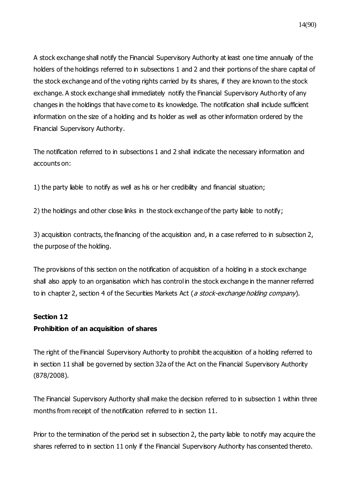A stock exchange shall notify the Financial Supervisory Authority at least one time annually of the holders of the holdings referred to in subsections 1 and 2 and their portions of the share capital of the stock exchange and of the voting rights carried by its shares, if they are known to the stock exchange. A stock exchange shall immediately notify the Financial Supervisory Authority of any changes in the holdings that have come to its knowledge. The notification shall include sufficient information on the size of a holding and its holder as well as other information ordered by the Financial Supervisory Authority.

The notification referred to in subsections 1 and 2 shall indicate the necessary information and accounts on:

1) the party liable to notify as well as his or her credibility and financial situation;

2) the holdings and other close links in the stock exchange of the party liable to notify;

3) acquisition contracts, the financing of the acquisition and, in a case referred to in subsection 2, the purpose of the holding.

The provisions of this section on the notification of acquisition of a holding in a stock exchange shall also apply to an organisation which has control in the stock exchange in the manner referred to in chapter 2, section 4 of the Securities Markets Act (a stock-exchange holding company).

### **Section 12**

### **Prohibition of an acquisition of shares**

The right of the Financial Supervisory Authority to prohibit the acquisition of a holding referred to in section 11 shall be governed by section 32a of the Act on the Financial Supervisory Authority (878/2008).

The Financial Supervisory Authority shall make the decision referred to in subsection 1 within three months from receipt of the notification referred to in section 11.

Prior to the termination of the period set in subsection 2, the party liable to notify may acquire the shares referred to in section 11 only if the Financial Supervisory Authority has consented thereto.

14(90)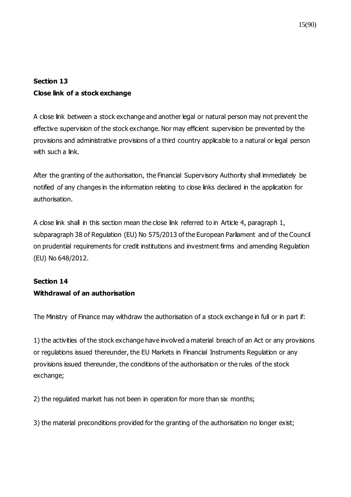## **Section 13 Close link of a stock exchange**

A close link between a stock exchange and another legal or natural person may not prevent the effective supervision of the stock exchange. Nor may efficient supervision be prevented by the provisions and administrative provisions of a third country applicable to a natural or legal person with such a link.

After the granting of the authorisation, the Financial Supervisory Authority shall immediately be notified of any changes in the information relating to close links declared in the application for authorisation.

A close link shall in this section mean the close link referred to in Article 4, paragraph 1, subparagraph 38 of Regulation (EU) No 575/2013 of the European Parliament and of the Council on prudential requirements for credit institutions and investment firms and amending Regulation (EU) No 648/2012.

## **Section 14 Withdrawal of an authorisation**

The Ministry of Finance may withdraw the authorisation of a stock exchange in full or in part if:

1) the activities of the stock exchange have involved a material breach of an Act or any provisions or regulations issued thereunder, the EU Markets in Financial Instruments Regulation or any provisions issued thereunder, the conditions of the authorisation or the rules of the stock exchange;

2) the regulated market has not been in operation for more than six months;

3) the material preconditions provided for the granting of the authorisation no longer exist;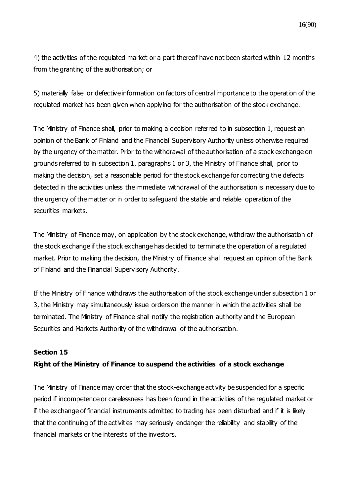4) the activities of the regulated market or a part thereof have not been started within 12 months from the granting of the authorisation; or

5) materially false or defective information on factors of central importance to the operation of the regulated market has been given when applying for the authorisation of the stock exchange.

The Ministry of Finance shall, prior to making a decision referred to in subsection 1, request an opinion of the Bank of Finland and the Financial Supervisory Authority unless otherwise required by the urgency of the matter. Prior to the withdrawal of the authorisation of a stock exchange on grounds referred to in subsection 1, paragraphs 1 or 3, the Ministry of Finance shall, prior to making the decision, set a reasonable period for the stock exchange for correcting the defects detected in the activities unless the immediate withdrawal of the authorisation is necessary due to the urgency of the matter or in order to safeguard the stable and reliable operation of the securities markets.

The Ministry of Finance may, on application by the stock exchange, withdraw the authorisation of the stock exchange if the stock exchange has decided to terminate the operation of a regulated market. Prior to making the decision, the Ministry of Finance shall request an opinion of the Bank of Finland and the Financial Supervisory Authority.

If the Ministry of Finance withdraws the authorisation of the stock exchange under subsection 1 or 3, the Ministry may simultaneously issue orders on the manner in which the activities shall be terminated. The Ministry of Finance shall notify the registration authority and the European Securities and Markets Authority of the withdrawal of the authorisation.

### **Section 15**

### **Right of the Ministry of Finance to suspend the activities of a stock exchange**

The Ministry of Finance may order that the stock-exchange activity be suspended for a specific period if incompetence or carelessness has been found in the activities of the regulated market or if the exchange of financial instruments admitted to trading has been disturbed and if it is likely that the continuing of the activities may seriously endanger the reliability and stability of the financial markets or the interests of the investors.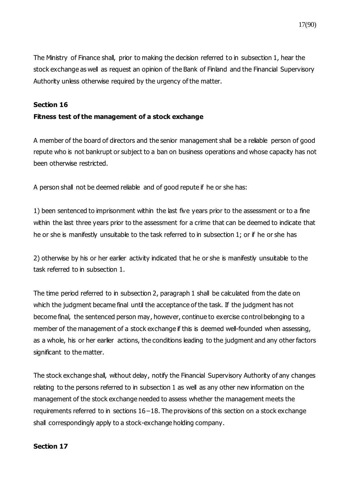The Ministry of Finance shall, prior to making the decision referred to in subsection 1, hear the stock exchange as well as request an opinion of the Bank of Finland and the Financial Supervisory Authority unless otherwise required by the urgency of the matter.

#### **Section 16**

### **Fitness test of the management of a stock exchange**

A member of the board of directors and the senior management shall be a reliable person of good repute who is not bankrupt or subject to a ban on business operations and whose capacity has not been otherwise restricted.

A person shall not be deemed reliable and of good repute if he or she has:

1) been sentenced to imprisonment within the last five years prior to the assessment or to a fine within the last three years prior to the assessment for a crime that can be deemed to indicate that he or she is manifestly unsuitable to the task referred to in subsection 1; or if he or she has

2) otherwise by his or her earlier activity indicated that he or she is manifestly unsuitable to the task referred to in subsection 1.

The time period referred to in subsection 2, paragraph 1 shall be calculated from the date on which the judgment became final until the acceptance of the task. If the judgment has not become final, the sentenced person may, however, continue to exercise control belonging to a member of the management of a stock exchange if this is deemed well-founded when assessing, as a whole, his or her earlier actions, the conditions leading to the judgment and any other factors significant to the matter.

The stock exchange shall, without delay, notify the Financial Supervisory Authority of any changes relating to the persons referred to in subsection 1 as well as any other new information on the management of the stock exchange needed to assess whether the management meets the requirements referred to in sections 16−18. The provisions of this section on a stock exchange shall correspondingly apply to a stock-exchange holding company.

### **Section 17**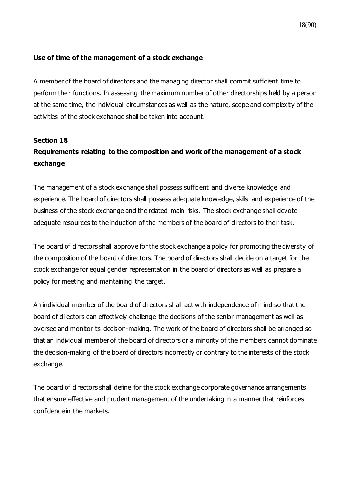### **Use of time of the management of a stock exchange**

A member of the board of directors and the managing director shall commit sufficient time to perform their functions. In assessing the maximum number of other directorships held by a person at the same time, the individual circumstances as well as the nature, scope and complexity of the activities of the stock exchange shall be taken into account.

## **Section 18 Requirements relating to the composition and work of the management of a stock exchange**

The management of a stock exchange shall possess sufficient and diverse knowledge and experience. The board of directors shall possess adequate knowledge, skills and experience of the business of the stock exchange and the related main risks. The stock exchange shall devote adequate resources to the induction of the members of the board of directors to their task.

The board of directors shall approve for the stock exchange a policy for promoting the diversity of the composition of the board of directors. The board of directors shall decide on a target for the stock exchange for equal gender representation in the board of directors as well as prepare a policy for meeting and maintaining the target.

An individual member of the board of directors shall act with independence of mind so that the board of directors can effectively challenge the decisions of the senior management as well as oversee and monitor its decision-making. The work of the board of directors shall be arranged so that an individual member of the board of directors or a minority of the members cannot dominate the decision-making of the board of directors incorrectly or contrary to the interests of the stock exchange.

The board of directors shall define for the stock exchange corporate governance arrangements that ensure effective and prudent management of the undertaking in a manner that reinforces confidence in the markets.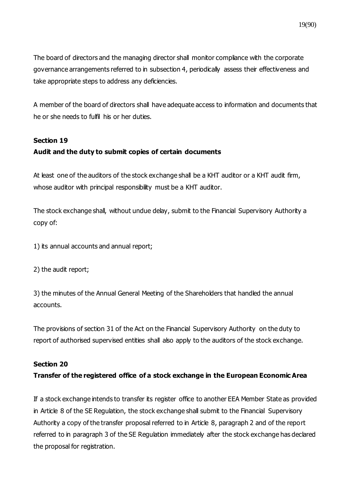The board of directors and the managing director shall monitor compliance with the corporate governance arrangements referred to in subsection 4, periodically assess their effectiveness and take appropriate steps to address any deficiencies.

A member of the board of directors shall have adequate access to information and documents that he or she needs to fulfil his or her duties.

### **Section 19**

### **Audit and the duty to submit copies of certain documents**

At least one of the auditors of the stock exchange shall be a KHT auditor or a KHT audit firm, whose auditor with principal responsibility must be a KHT auditor.

The stock exchange shall, without undue delay, submit to the Financial Supervisory Authority a copy of:

1) its annual accounts and annual report;

2) the audit report;

3) the minutes of the Annual General Meeting of the Shareholders that handled the annual accounts.

The provisions of section 31 of the Act on the Financial Supervisory Authority on the duty to report of authorised supervised entities shall also apply to the auditors of the stock exchange.

### **Section 20**

### **Transfer of the registered office of a stock exchange in the European Economic Area**

If a stock exchange intends to transfer its register office to another EEA Member State as provided in Article 8 of the SE Regulation, the stock exchange shall submit to the Financial Supervisory Authority a copy of the transfer proposal referred to in Article 8, paragraph 2 and of the report referred to in paragraph 3 of the SE Regulation immediately after the stock exchange has declared the proposal for registration.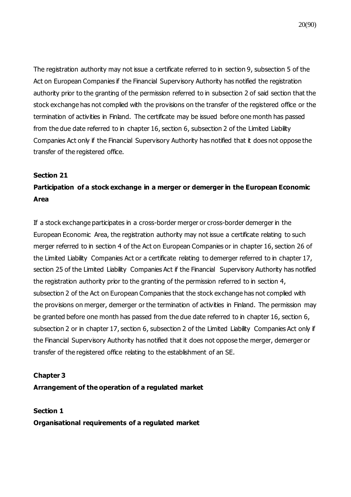The registration authority may not issue a certificate referred to in section 9, subsection 5 of the Act on European Companies if the Financial Supervisory Authority has notified the registration authority prior to the granting of the permission referred to in subsection 2 of said section that the stock exchange has not complied with the provisions on the transfer of the registered office or the termination of activities in Finland. The certificate may be issued before one month has passed from the due date referred to in chapter 16, section 6, subsection 2 of the Limited Liability Companies Act only if the Financial Supervisory Authority has notified that it does not oppose the transfer of the registered office.

#### **Section 21**

## **Participation of a stock exchange in a merger or demerger in the European Economic Area**

If a stock exchange participates in a cross-border merger or cross-border demerger in the European Economic Area, the registration authority may not issue a certificate relating to such merger referred to in section 4 of the Act on European Companies or in chapter 16, section 26 of the Limited Liability Companies Act or a certificate relating to demerger referred to in chapter 17, section 25 of the Limited Liability Companies Act if the Financial Supervisory Authority has notified the registration authority prior to the granting of the permission referred to in section 4, subsection 2 of the Act on European Companies that the stock exchange has not complied with the provisions on merger, demerger or the termination of activities in Finland. The permission may be granted before one month has passed from the due date referred to in chapter 16, section 6, subsection 2 or in chapter 17, section 6, subsection 2 of the Limited Liability Companies Act only if the Financial Supervisory Authority has notified that it does not oppose the merger, demerger or transfer of the registered office relating to the establishment of an SE.

#### **Chapter 3**

#### **Arrangement of the operation of a regulated market**

**Section 1**

**Organisational requirements of a regulated market**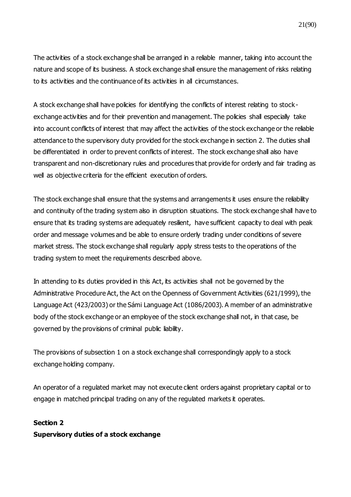The activities of a stock exchange shall be arranged in a reliable manner, taking into account the nature and scope of its business. A stock exchange shall ensure the management of risks relating to its activities and the continuance of its activities in all circumstances.

A stock exchange shall have policies for identifying the conflicts of interest relating to stockexchange activities and for their prevention and management. The policies shall especially take into account conflicts of interest that may affect the activities of the stock exchange or the reliable attendance to the supervisory duty provided for the stock exchange in section 2. The duties shall be differentiated in order to prevent conflicts of interest. The stock exchange shall also have transparent and non-discretionary rules and procedures that provide for orderly and fair trading as well as objective criteria for the efficient execution of orders.

The stock exchange shall ensure that the systems and arrangements it uses ensure the reliability and continuity of the trading system also in disruption situations. The stock exchange shall have to ensure that its trading systems are adequately resilient, have sufficient capacity to deal with peak order and message volumes and be able to ensure orderly trading under conditions of severe market stress. The stock exchange shall regularly apply stress tests to the operations of the trading system to meet the requirements described above.

In attending to its duties provided in this Act, its activities shall not be governed by the Administrative Procedure Act, the Act on the Openness of Government Activities (621/1999), the Language Act (423/2003) or the Sámi Language Act (1086/2003). A member of an administrative body of the stock exchange or an employee of the stock exchange shall not, in that case, be governed by the provisions of criminal public liability.

The provisions of subsection 1 on a stock exchange shall correspondingly apply to a stock exchange holding company.

An operator of a regulated market may not execute client orders against proprietary capital or to engage in matched principal trading on any of the regulated markets it operates.

## **Section 2 Supervisory duties of a stock exchange**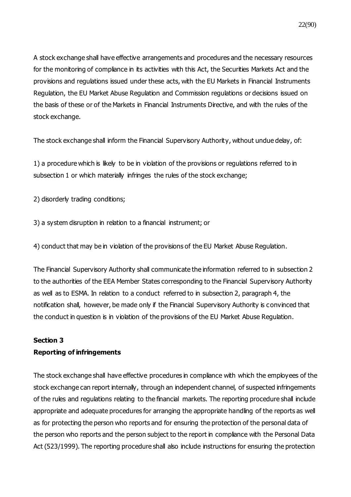A stock exchange shall have effective arrangements and procedures and the necessary resources for the monitoring of compliance in its activities with this Act, the Securities Markets Act and the provisions and regulations issued under these acts, with the EU Markets in Financial Instruments Regulation, the EU Market Abuse Regulation and Commission regulations or decisions issued on the basis of these or of the Markets in Financial Instruments Directive, and with the rules of the stock exchange.

The stock exchange shall inform the Financial Supervisory Authority, without undue delay, of:

1) a procedure which is likely to be in violation of the provisions or regulations referred to in subsection 1 or which materially infringes the rules of the stock exchange;

2) disorderly trading conditions;

3) a system disruption in relation to a financial instrument; or

4) conduct that may be in violation of the provisions of the EU Market Abuse Regulation.

The Financial Supervisory Authority shall communicate the information referred to in subsection 2 to the authorities of the EEA Member States corresponding to the Financial Supervisory Authority as well as to ESMA. In relation to a conduct referred to in subsection 2, paragraph 4, the notification shall, however, be made only if the Financial Supervisory Authority is convinced that the conduct in question is in violation of the provisions of the EU Market Abuse Regulation.

## **Section 3 Reporting of infringements**

The stock exchange shall have effective procedures in compliance with which the employees of the stock exchange can report internally, through an independent channel, of suspected infringements of the rules and regulations relating to the financial markets. The reporting procedure shall include appropriate and adequate procedures for arranging the appropriate handling of the reports as well as for protecting the person who reports and for ensuring the protection of the personal data of the person who reports and the person subject to the report in compliance with the Personal Data Act (523/1999). The reporting procedure shall also include instructions for ensuring the protection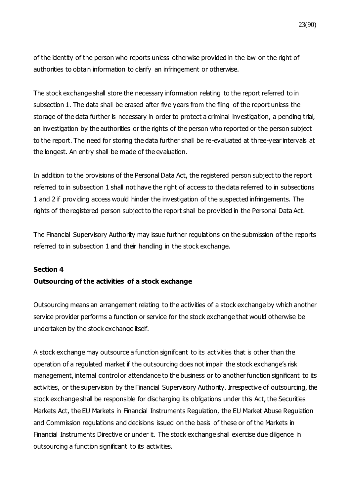of the identity of the person who reports unless otherwise provided in the law on the right of authorities to obtain information to clarify an infringement or otherwise.

The stock exchange shall store the necessary information relating to the report referred to in subsection 1. The data shall be erased after five years from the filing of the report unless the storage of the data further is necessary in order to protect a criminal investigation, a pending trial, an investigation by the authorities or the rights of the person who reported or the person subject to the report. The need for storing the data further shall be re-evaluated at three-year intervals at the longest. An entry shall be made of the evaluation.

In addition to the provisions of the Personal Data Act, the registered person subject to the report referred to in subsection 1 shall not have the right of access to the data referred to in subsections 1 and 2 if providing access would hinder the investigation of the suspected infringements. The rights of the registered person subject to the report shall be provided in the Personal Data Act.

The Financial Supervisory Authority may issue further regulations on the submission of the reports referred to in subsection 1 and their handling in the stock exchange.

#### **Section 4**

#### **Outsourcing of the activities of a stock exchange**

Outsourcing means an arrangement relating to the activities of a stock exchange by which another service provider performs a function or service for the stock exchange that would otherwise be undertaken by the stock exchange itself.

A stock exchange may outsource a function significant to its activities that is other than the operation of a regulated market if the outsourcing does not impair the stock exchange's risk management, internal control or attendance to the business or to another function significant to its activities, or the supervision by the Financial Supervisory Authority. Irrespective of outsourcing, the stock exchange shall be responsible for discharging its obligations under this Act, the Securities Markets Act, the EU Markets in Financial Instruments Regulation, the EU Market Abuse Regulation and Commission regulations and decisions issued on the basis of these or of the Markets in Financial Instruments Directive or under it. The stock exchange shall exercise due diligence in outsourcing a function significant to its activities.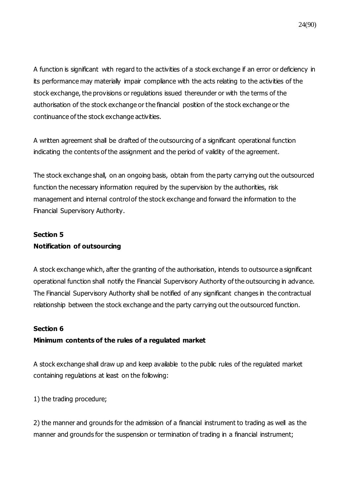A function is significant with regard to the activities of a stock exchange if an error or deficiency in its performance may materially impair compliance with the acts relating to the activities of the stock exchange, the provisions or regulations issued thereunder or with the terms of the authorisation of the stock exchange or the financial position of the stock exchange or the continuance of the stock exchange activities.

A written agreement shall be drafted of the outsourcing of a significant operational function indicating the contents of the assignment and the period of validity of the agreement.

The stock exchange shall, on an ongoing basis, obtain from the party carrying out the outsourced function the necessary information required by the supervision by the authorities, risk management and internal control of the stock exchange and forward the information to the Financial Supervisory Authority.

## **Section 5 Notification of outsourcing**

A stock exchange which, after the granting of the authorisation, intends to outsource a significant operational function shall notify the Financial Supervisory Authority of the outsourcing in advance. The Financial Supervisory Authority shall be notified of any significant changes in the contractual relationship between the stock exchange and the party carrying out the outsourced function.

### **Section 6**

### **Minimum contents of the rules of a regulated market**

A stock exchange shall draw up and keep available to the public rules of the regulated market containing regulations at least on the following:

1) the trading procedure;

2) the manner and grounds for the admission of a financial instrument to trading as well as the manner and grounds for the suspension or termination of trading in a financial instrument;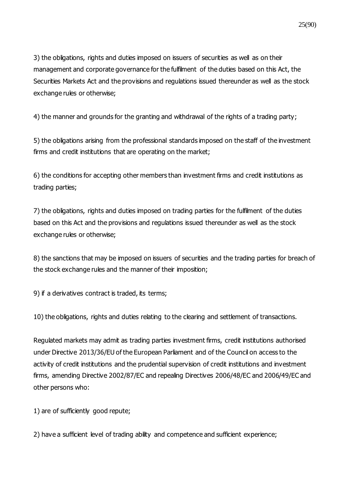3) the obligations, rights and duties imposed on issuers of securities as well as on their management and corporate governance for the fulfilment of the duties based on this Act, the Securities Markets Act and the provisions and regulations issued thereunder as well as the stock exchange rules or otherwise;

4) the manner and grounds for the granting and withdrawal of the rights of a trading party;

5) the obligations arising from the professional standards imposed on the staff of the investment firms and credit institutions that are operating on the market;

6) the conditions for accepting other members than investment firms and credit institutions as trading parties;

7) the obligations, rights and duties imposed on trading parties for the fulfilment of the duties based on this Act and the provisions and regulations issued thereunder as well as the stock exchange rules or otherwise;

8) the sanctions that may be imposed on issuers of securities and the trading parties for breach of the stock exchange rules and the manner of their imposition;

9) if a derivatives contract is traded, its terms;

10) the obligations, rights and duties relating to the clearing and settlement of transactions.

Regulated markets may admit as trading parties investment firms, credit institutions authorised under Directive 2013/36/EU of the European Parliament and of the Council on access to the activity of credit institutions and the prudential supervision of credit institutions and investment firms, amending Directive 2002/87/EC and repealing Directives 2006/48/EC and 2006/49/EC and other persons who:

1) are of sufficiently good repute;

2) have a sufficient level of trading ability and competence and sufficient experience;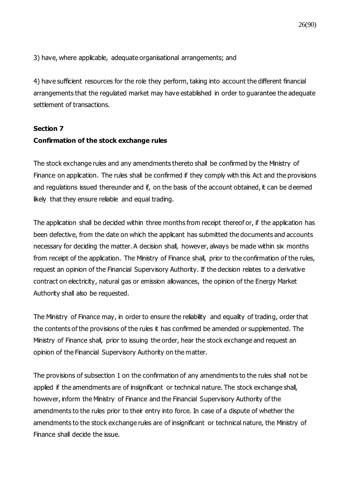3) have, where applicable, adequate organisational arrangements; and

4) have sufficient resources for the role they perform, taking into account the different financial arrangements that the regulated market may have established in order to guarantee the adequate settlement of transactions.

### **Section 7**

### **Confirmation of the stock exchange rules**

The stock exchange rules and any amendments thereto shall be confirmed by the Ministry of Finance on application. The rules shall be confirmed if they comply with this Act and the provisions and regulations issued thereunder and if, on the basis of the account obtained, it can be deemed likely that they ensure reliable and equal trading.

The application shall be decided within three months from receipt thereof or, if the application has been defective, from the date on which the applicant has submitted the documents and accounts necessary for deciding the matter. A decision shall, however, always be made within six months from receipt of the application. The Ministry of Finance shall, prior to the confirmation of the rules, request an opinion of the Financial Supervisory Authority. If the decision relates to a derivative contract on electricity, natural gas or emission allowances, the opinion of the Energy Market Authority shall also be requested.

The Ministry of Finance may, in order to ensure the reliability and equality of trading, order that the contents of the provisions of the rules it has confirmed be amended or supplemented. The Ministry of Finance shall, prior to issuing the order, hear the stock exchange and request an opinion of the Financial Supervisory Authority on the matter.

The provisions of subsection 1 on the confirmation of any amendments to the rules shall not be applied if the amendments are of insignificant or technical nature. The stock exchange shall, however, inform the Ministry of Finance and the Financial Supervisory Authority of the amendments to the rules prior to their entry into force. In case of a dispute of whether the amendments to the stock exchange rules are of insignificant or technical nature, the Ministry of Finance shall decide the issue.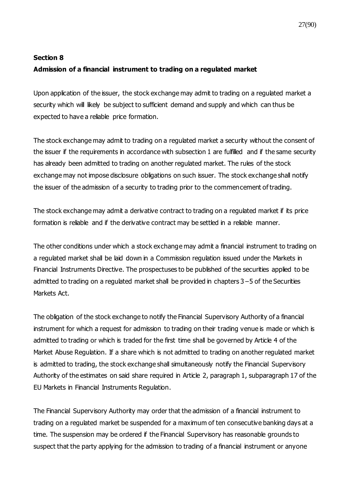## **Section 8 Admission of a financial instrument to trading on a regulated market**

Upon application of the issuer, the stock exchange may admit to trading on a regulated market a security which will likely be subject to sufficient demand and supply and which can thus be expected to have a reliable price formation.

The stock exchange may admit to trading on a regulated market a security without the consent of the issuer if the requirements in accordance with subsection 1 are fulfilled and if the same security has already been admitted to trading on another regulated market. The rules of the stock exchange may not impose disclosure obligations on such issuer. The stock exchange shall notify the issuer of the admission of a security to trading prior to the commencement of trading.

The stock exchange may admit a derivative contract to trading on a regulated market if its price formation is reliable and if the derivative contract may be settled in a reliable manner.

The other conditions under which a stock exchange may admit a financial instrument to trading on a regulated market shall be laid down in a Commission regulation issued under the Markets in Financial Instruments Directive. The prospectuses to be published of the securities applied to be admitted to trading on a regulated market shall be provided in chapters 3−5 of the Securities Markets Act.

The obligation of the stock exchange to notify the Financial Supervisory Authority of a financial instrument for which a request for admission to trading on their trading venue is made or which is admitted to trading or which is traded for the first time shall be governed by Article 4 of the Market Abuse Regulation. If a share which is not admitted to trading on another regulated market is admitted to trading, the stock exchange shall simultaneously notify the Financial Supervisory Authority of the estimates on said share required in Article 2, paragraph 1, subparagraph 17 of the EU Markets in Financial Instruments Regulation.

The Financial Supervisory Authority may order that the admission of a financial instrument to trading on a regulated market be suspended for a maximum of ten consecutive banking days at a time. The suspension may be ordered if the Financial Supervisory has reasonable grounds to suspect that the party applying for the admission to trading of a financial instrument or anyone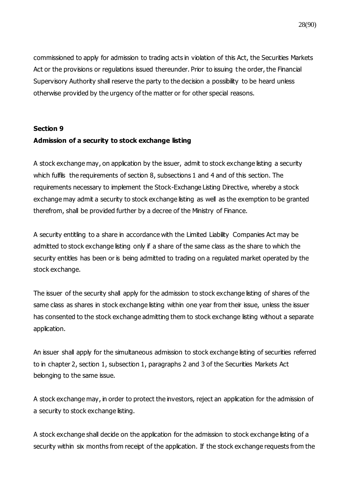commissioned to apply for admission to trading acts in violation of this Act, the Securities Markets Act or the provisions or regulations issued thereunder. Prior to issuing the order, the Financial Supervisory Authority shall reserve the party to the decision a possibility to be heard unless otherwise provided by the urgency of the matter or for other special reasons.

## **Section 9 Admission of a security to stock exchange listing**

A stock exchange may, on application by the issuer, admit to stock exchange listing a security which fulfils the requirements of section 8, subsections 1 and 4 and of this section. The requirements necessary to implement the Stock-Exchange Listing Directive, whereby a stock exchange may admit a security to stock exchange listing as well as the exemption to be granted therefrom, shall be provided further by a decree of the Ministry of Finance.

A security entitling to a share in accordance with the Limited Liability Companies Act may be admitted to stock exchange listing only if a share of the same class as the share to which the security entitles has been or is being admitted to trading on a regulated market operated by the stock exchange.

The issuer of the security shall apply for the admission to stock exchange listing of shares of the same class as shares in stock exchange listing within one year from their issue, unless the issuer has consented to the stock exchange admitting them to stock exchange listing without a separate application.

An issuer shall apply for the simultaneous admission to stock exchange listing of securities referred to in chapter 2, section 1, subsection 1, paragraphs 2 and 3 of the Securities Markets Act belonging to the same issue.

A stock exchange may, in order to protect the investors, reject an application for the admission of a security to stock exchange listing.

A stock exchange shall decide on the application for the admission to stock exchange listing of a security within six months from receipt of the application. If the stock exchange requests from the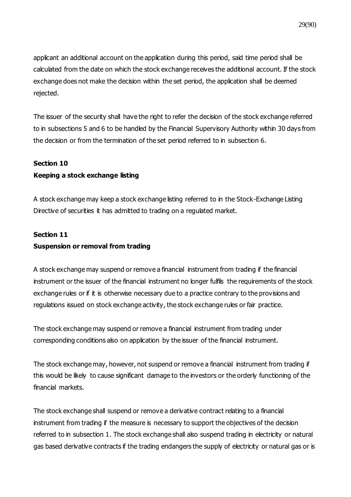applicant an additional account on the application during this period, said time period shall be calculated from the date on which the stock exchange receives the additional account. If the stock exchange does not make the decision within the set period, the application shall be deemed rejected.

The issuer of the security shall have the right to refer the decision of the stock exchange referred to in subsections 5 and 6 to be handled by the Financial Supervisory Authority within 30 days from the decision or from the termination of the set period referred to in subsection 6.

#### **Section 10**

### **Keeping a stock exchange listing**

A stock exchange may keep a stock exchange listing referred to in the Stock-Exchange Listing Directive of securities it has admitted to trading on a regulated market.

### **Section 11**

### **Suspension or removal from trading**

A stock exchange may suspend or remove a financial instrument from trading if the financial instrument or the issuer of the financial instrument no longer fulfils the requirements of the stock exchange rules or if it is otherwise necessary due to a practice contrary to the provisions and regulations issued on stock exchange activity, the stock exchange rules or fair practice.

The stock exchange may suspend or remove a financial instrument from trading under corresponding conditions also on application by the issuer of the financial instrument.

The stock exchange may, however, not suspend or remove a financial instrument from trading if this would be likely to cause significant damage to the investors or the orderly functioning of the financial markets.

The stock exchange shall suspend or remove a derivative contract relating to a financial instrument from trading if the measure is necessary to support the objectives of the decision referred to in subsection 1. The stock exchange shall also suspend trading in electricity or natural gas based derivative contracts if the trading endangers the supply of electricity or natural gas or is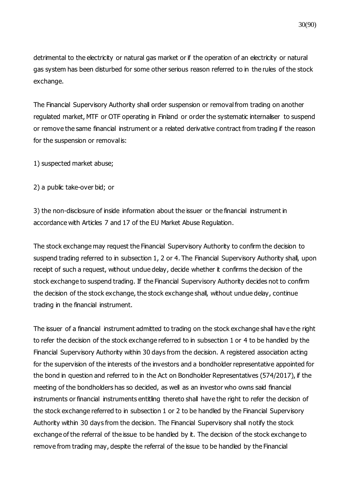detrimental to the electricity or natural gas market or if the operation of an electricity or natural gas system has been disturbed for some other serious reason referred to in the rules of the stock exchange.

The Financial Supervisory Authority shall order suspension or removal from trading on another regulated market, MTF or OTF operating in Finland or order the systematic internaliser to suspend or remove the same financial instrument or a related derivative contract from trading if the reason for the suspension or removal is:

1) suspected market abuse;

2) a public take-over bid; or

3) the non-disclosure of inside information about the issuer or the financial instrument in accordance with Articles 7 and 17 of the EU Market Abuse Regulation.

The stock exchange may request the Financial Supervisory Authority to confirm the decision to suspend trading referred to in subsection 1, 2 or 4. The Financial Supervisory Authority shall, upon receipt of such a request, without undue delay, decide whether it confirms the decision of the stock exchange to suspend trading. If the Financial Supervisory Authority decides not to confirm the decision of the stock exchange, the stock exchange shall, without undue delay, continue trading in the financial instrument.

The issuer of a financial instrument admitted to trading on the stock exchange shall hav e the right to refer the decision of the stock exchange referred to in subsection 1 or 4 to be handled by the Financial Supervisory Authority within 30 days from the decision. A registered association acting for the supervision of the interests of the investors and a bondholder representative appointed for the bond in question and referred to in the Act on Bondholder Representatives (574/2017), if the meeting of the bondholders has so decided, as well as an investor who owns said financial instruments or financial instruments entitling thereto shall have the right to refer the decision of the stock exchange referred to in subsection 1 or 2 to be handled by the Financial Supervisory Authority within 30 days from the decision. The Financial Supervisory shall notify the stock exchange of the referral of the issue to be handled by it. The decision of the stock exchange to remove from trading may, despite the referral of the issue to be handled by the Financial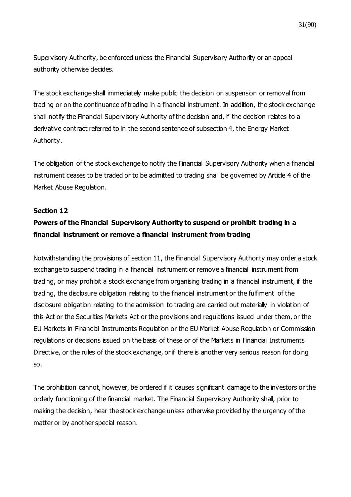Supervisory Authority, be enforced unless the Financial Supervisory Authority or an appeal authority otherwise decides.

The stock exchange shall immediately make public the decision on suspension or removal from trading or on the continuance of trading in a financial instrument. In addition, the stock exchange shall notify the Financial Supervisory Authority of the decision and, if the decision relates to a derivative contract referred to in the second sentence of subsection 4, the Energy Market Authority.

The obligation of the stock exchange to notify the Financial Supervisory Authority when a financial instrument ceases to be traded or to be admitted to trading shall be governed by Article 4 of the Market Abuse Regulation.

#### **Section 12**

### **Powers of the Financial Supervisory Authority to suspend or prohibit trading in a financial instrument or remove a financial instrument from trading**

Notwithstanding the provisions of section 11, the Financial Supervisory Authority may order a stock exchange to suspend trading in a financial instrument or remove a financial instrument from trading, or may prohibit a stock exchange from organising trading in a financial instrument, if the trading, the disclosure obligation relating to the financial instrument or the fulfilment of the disclosure obligation relating to the admission to trading are carried out materially in violation of this Act or the Securities Markets Act or the provisions and regulations issued under them, or the EU Markets in Financial Instruments Regulation or the EU Market Abuse Regulation or Commission regulations or decisions issued on the basis of these or of the Markets in Financial Instruments Directive, or the rules of the stock exchange, or if there is another very serious reason for doing so.

The prohibition cannot, however, be ordered if it causes significant damage to the investors or the orderly functioning of the financial market. The Financial Supervisory Authority shall, prior to making the decision, hear the stock exchange unless otherwise provided by the urgency of the matter or by another special reason.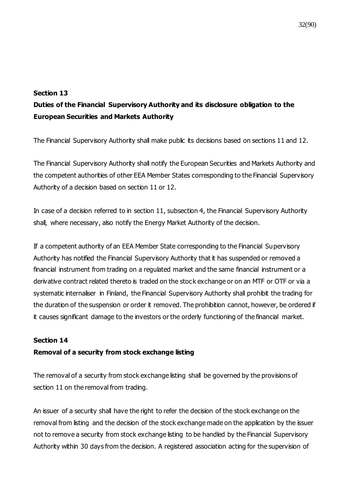### **Section 13**

## **Duties of the Financial Supervisory Authority and its disclosure obligation to the European Securities and Markets Authority**

The Financial Supervisory Authority shall make public its decisions based on sections 11 and 12.

The Financial Supervisory Authority shall notify the European Securities and Markets Authority and the competent authorities of other EEA Member States corresponding to the Financial Supervisory Authority of a decision based on section 11 or 12.

In case of a decision referred to in section 11, subsection 4, the Financial Supervisory Authority shall, where necessary, also notify the Energy Market Authority of the decision.

If a competent authority of an EEA Member State corresponding to the Financial Supervisory Authority has notified the Financial Supervisory Authority that it has suspended or removed a financial instrument from trading on a regulated market and the same financial instrument or a derivative contract related thereto is traded on the stock exchange or on an MTF or OTF or via a systematic internaliser in Finland, the Financial Supervisory Authority shall prohibit the trading for the duration of the suspension or order it removed. The prohibition cannot, however, be ordered if it causes significant damage to the investors or the orderly functioning of the financial market.

### **Section 14**

### **Removal of a security from stock exchange listing**

The removal of a security from stock exchange listing shall be governed by the provisions of section 11 on the removal from trading.

An issuer of a security shall have the right to refer the decision of the stock exchange on the removal from listing and the decision of the stock exchange made on the application by the issuer not to remove a security from stock exchange listing to be handled by the Financial Supervisory Authority within 30 days from the decision. A registered association acting for the supervision of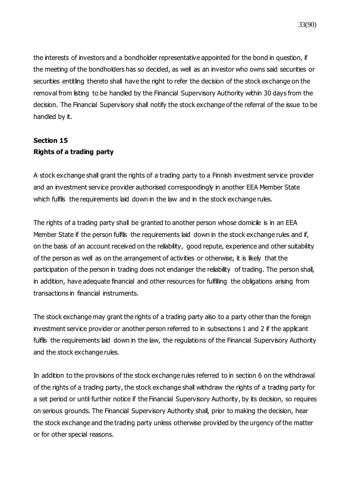the interests of investors and a bondholder representative appointed for the bond in question, if the meeting of the bondholders has so decided, as well as an investor who owns said securities or securities entitling thereto shall have the right to refer the decision of the stock exchange on the removal from listing to be handled by the Financial Supervisory Authority within 30 days from the decision. The Financial Supervisory shall notify the stock exchange of the referral of the issue to be handled by it.

## **Section 15 Rights of a trading party**

A stock exchange shall grant the rights of a trading party to a Finnish investment service provider and an investment service provider authorised correspondingly in another EEA Member State which fulfills the requirements laid down in the law and in the stock exchange rules.

The rights of a trading party shall be granted to another person whose domicile is in an EEA Member State if the person fulfils the requirements laid down in the stock exchange rules and if, on the basis of an account received on the reliability, good repute, experience and other suitability of the person as well as on the arrangement of activities or otherwise, it is likely that the participation of the person in trading does not endanger the reliability of trading. The person shall, in addition, have adequate financial and other resources for fulfilling the obligations arising from transactions in financial instruments.

The stock exchange may grant the rights of a trading party also to a party other than the foreign investment service provider or another person referred to in subsections 1 and 2 if the applicant fulfils the requirements laid down in the law, the regulations of the Financial Supervisory Authority and the stock exchange rules.

In addition to the provisions of the stock exchange rules referred to in section 6 on the withdrawal of the rights of a trading party, the stock exchange shall withdraw the rights of a trading party for a set period or until further notice if the Financial Supervisory Authority, by its decision, so requires on serious grounds. The Financial Supervisory Authority shall, prior to making the decision, hear the stock exchange and the trading party unless otherwise provided by the urgency of the matter or for other special reasons.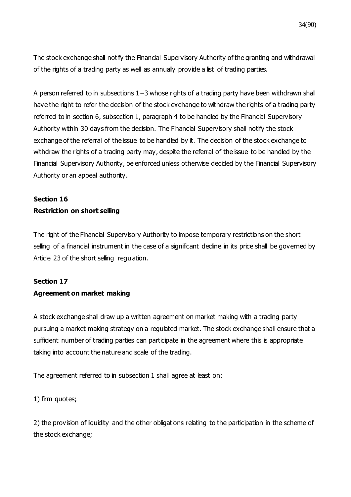The stock exchange shall notify the Financial Supervisory Authority of the granting and withdrawal of the rights of a trading party as well as annually provide a list of trading parties.

A person referred to in subsections 1−3 whose rights of a trading party have been withdrawn shall have the right to refer the decision of the stock exchange to withdraw the rights of a trading party referred to in section 6, subsection 1, paragraph 4 to be handled by the Financial Supervisory Authority within 30 days from the decision. The Financial Supervisory shall notify the stock exchange of the referral of the issue to be handled by it. The decision of the stock exchange to withdraw the rights of a trading party may, despite the referral of the issue to be handled by the Financial Supervisory Authority, be enforced unless otherwise decided by the Financial Supervisory Authority or an appeal authority.

### **Section 16 Restriction on short selling**

The right of the Financial Supervisory Authority to impose temporary restrictions on the short selling of a financial instrument in the case of a significant decline in its price shall be governed by Article 23 of the short selling regulation.

### **Section 17**

### **Agreement on market making**

A stock exchange shall draw up a written agreement on market making with a trading party pursuing a market making strategy on a regulated market. The stock exchange shall ensure that a sufficient number of trading parties can participate in the agreement where this is appropriate taking into account the nature and scale of the trading.

The agreement referred to in subsection 1 shall agree at least on:

1) firm quotes;

2) the provision of liquidity and the other obligations relating to the participation in the scheme of the stock exchange;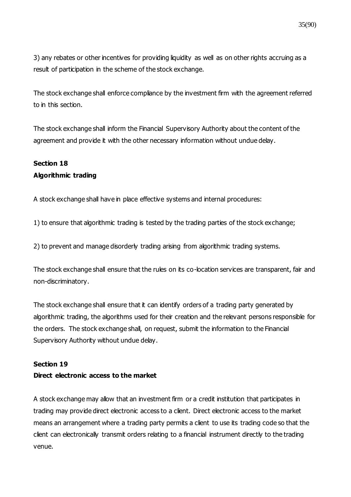3) any rebates or other incentives for providing liquidity as well as on other rights accruing as a result of participation in the scheme of the stock exchange.

The stock exchange shall enforce compliance by the investment firm with the agreement referred to in this section.

The stock exchange shall inform the Financial Supervisory Authority about the content of the agreement and provide it with the other necessary information without undue delay.

## **Section 18 Algorithmic trading**

A stock exchange shall have in place effective systems and internal procedures:

1) to ensure that algorithmic trading is tested by the trading parties of the stock exchange;

2) to prevent and manage disorderly trading arising from algorithmic trading systems.

The stock exchange shall ensure that the rules on its co-location services are transparent, fair and non-discriminatory.

The stock exchange shall ensure that it can identify orders of a trading party generated by algorithmic trading, the algorithms used for their creation and the relevant persons responsible for the orders. The stock exchange shall, on request, submit the information to the Financial Supervisory Authority without undue delay.

### **Section 19**

### **Direct electronic access to the market**

A stock exchange may allow that an investment firm or a credit institution that participates in trading may provide direct electronic access to a client. Direct electronic access to the market means an arrangement where a trading party permits a client to use its trading code so that the client can electronically transmit orders relating to a financial instrument directly to the trading venue.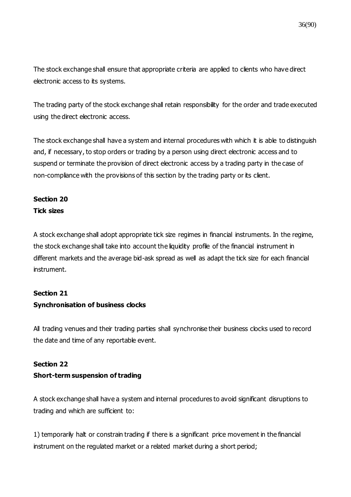The stock exchange shall ensure that appropriate criteria are applied to clients who have direct electronic access to its systems.

The trading party of the stock exchange shall retain responsibility for the order and trade executed using the direct electronic access.

The stock exchange shall have a system and internal procedures with which it is able to distinguish and, if necessary, to stop orders or trading by a person using direct electronic access and to suspend or terminate the provision of direct electronic access by a trading party in the case of non-compliance with the provisions of this section by the trading party or its client.

# **Section 20**

### **Tick sizes**

A stock exchange shall adopt appropriate tick size regimes in financial instruments. In the regime, the stock exchange shall take into account the liquidity profile of the financial instrument in different markets and the average bid-ask spread as well as adapt the tick size for each financial instrument.

### **Section 21**

### **Synchronisation of business clocks**

All trading venues and their trading parties shall synchronise their business clocks used to record the date and time of any reportable event.

## **Section 22**

### **Short-term suspension of trading**

A stock exchange shall have a system and internal procedures to avoid significant disruptions to trading and which are sufficient to:

1) temporarily halt or constrain trading if there is a significant price movement in the financial instrument on the regulated market or a related market during a short period;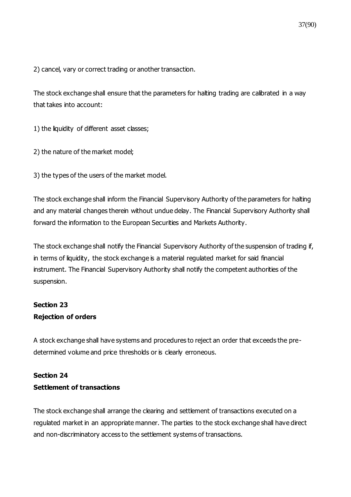2) cancel, vary or correct trading or another transaction.

The stock exchange shall ensure that the parameters for halting trading are calibrated in a way that takes into account:

1) the liquidity of different asset classes;

2) the nature of the market model;

3) the types of the users of the market model.

The stock exchange shall inform the Financial Supervisory Authority of the parameters for halting and any material changes therein without undue delay. The Financial Supervisory Authority shall forward the information to the European Securities and Markets Authority.

The stock exchange shall notify the Financial Supervisory Authority of the suspension of trading if, in terms of liquidity, the stock exchange is a material regulated market for said financial instrument. The Financial Supervisory Authority shall notify the competent authorities of the suspension.

## **Section 23 Rejection of orders**

A stock exchange shall have systems and procedures to reject an order that exceeds the predetermined volume and price thresholds or is clearly erroneous.

# **Section 24 Settlement of transactions**

The stock exchange shall arrange the clearing and settlement of transactions executed on a regulated market in an appropriate manner. The parties to the stock exchange shall have direct and non-discriminatory access to the settlement systems of transactions.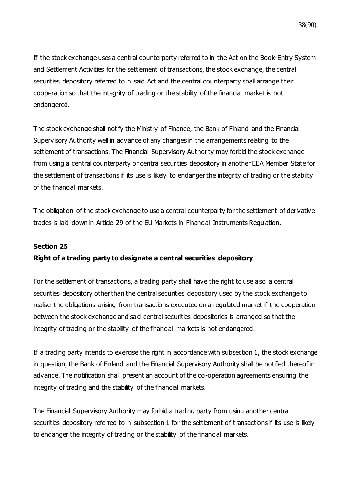If the stock exchange uses a central counterparty referred to in the Act on the Book-Entry System and Settlement Activities for the settlement of transactions, the stock exchange, the central securities depository referred to in said Act and the central counterparty shall arrange their cooperation so that the integrity of trading or the stability of the financial market is not endangered.

The stock exchange shall notify the Ministry of Finance, the Bank of Finland and the Financial Supervisory Authority well in advance of any changes in the arrangements relating to the settlement of transactions. The Financial Supervisory Authority may forbid the stock exchange from using a central counterparty or central securities depository in another EEA Member State for the settlement of transactions if its use is likely to endanger the integrity of trading or the stability of the financial markets.

The obligation of the stock exchange to use a central counterparty for the settlement of derivative trades is laid down in Article 29 of the EU Markets in Financial Instruments Regulation.

### **Section 25**

## **Right of a trading party to designate a central securities depository**

For the settlement of transactions, a trading party shall have the right to use also a central securities depository other than the central securities depository used by the stock exchange to realise the obligations arising from transactions executed on a regulated market if the cooperation between the stock exchange and said central securities depositories is arranged so that the integrity of trading or the stability of the financial markets is not endangered.

If a trading party intends to exercise the right in accordance with subsection 1, the stock exchange in question, the Bank of Finland and the Financial Supervisory Authority shall be notified thereof in advance. The notification shall present an account of the co-operation agreements ensuring the integrity of trading and the stability of the financial markets.

The Financial Supervisory Authority may forbid a trading party from using another central securities depository referred to in subsection 1 for the settlement of transactions if its use is likely to endanger the integrity of trading or the stability of the financial markets.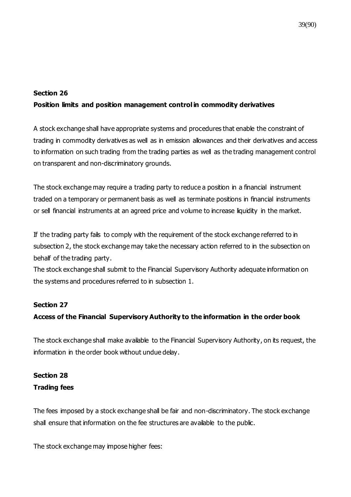### **Section 26**

## **Position limits and position management control in commodity derivatives**

A stock exchange shall have appropriate systems and procedures that enable the constraint of trading in commodity derivatives as well as in emission allowances and their derivatives and access to information on such trading from the trading parties as well as the trading management control on transparent and non-discriminatory grounds.

The stock exchange may require a trading party to reduce a position in a financial instrument traded on a temporary or permanent basis as well as terminate positions in financial instruments or sell financial instruments at an agreed price and volume to increase liquidity in the market.

If the trading party fails to comply with the requirement of the stock exchange referred to in subsection 2, the stock exchange may take the necessary action referred to in the subsection on behalf of the trading party.

The stock exchange shall submit to the Financial Supervisory Authority adequate information on the systems and procedures referred to in subsection 1.

## **Section 27**

## **Access of the Financial Supervisory Authority to the information in the order book**

The stock exchange shall make available to the Financial Supervisory Authority, on its request, the information in the order book without undue delay.

# **Section 28 Trading fees**

The fees imposed by a stock exchange shall be fair and non-discriminatory. The stock exchange shall ensure that information on the fee structures are available to the public.

The stock exchange may impose higher fees: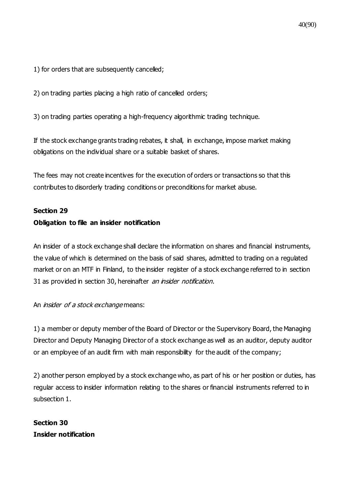1) for orders that are subsequently cancelled;

2) on trading parties placing a high ratio of cancelled orders;

3) on trading parties operating a high-frequency algorithmic trading technique.

If the stock exchange grants trading rebates, it shall, in exchange, impose market making obligations on the individual share or a suitable basket of shares.

The fees may not create incentives for the execution of orders or transactions so that this contributes to disorderly trading conditions or preconditions for market abuse.

### **Section 29**

## **Obligation to file an insider notification**

An insider of a stock exchange shall declare the information on shares and financial instruments, the value of which is determined on the basis of said shares, admitted to trading on a regulated market or on an MTF in Finland, to the insider register of a stock exchange referred to in section 31 as provided in section 30, hereinafter an insider notification.

### An *insider of a stock exchange* means:

1) a member or deputy member of the Board of Director or the Supervisory Board, the Managing Director and Deputy Managing Director of a stock exchange as well as an auditor, deputy auditor or an employee of an audit firm with main responsibility for the audit of the company;

2) another person employed by a stock exchange who, as part of his or her position or duties, has regular access to insider information relating to the shares or financial instruments referred to in subsection 1.

**Section 30 Insider notification**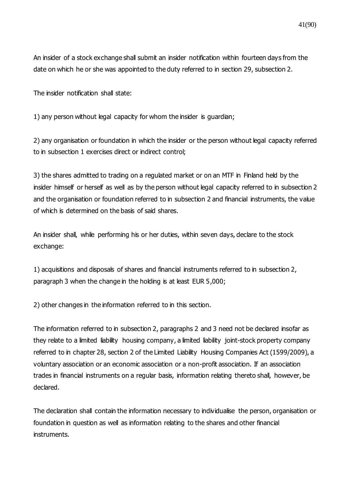An insider of a stock exchange shall submit an insider notification within fourteen days from the date on which he or she was appointed to the duty referred to in section 29, subsection 2.

The insider notification shall state:

1) any person without legal capacity for whom the insider is guardian;

2) any organisation or foundation in which the insider or the person without legal capacity referred to in subsection 1 exercises direct or indirect control;

3) the shares admitted to trading on a regulated market or on an MTF in Finland held by the insider himself or herself as well as by the person without legal capacity referred to in subsection 2 and the organisation or foundation referred to in subsection 2 and financial instruments, the value of which is determined on the basis of said shares.

An insider shall, while performing his or her duties, within seven days, declare to the stock exchange:

1) acquisitions and disposals of shares and financial instruments referred to in subsection 2, paragraph 3 when the change in the holding is at least EUR 5,000;

2) other changes in the information referred to in this section.

The information referred to in subsection 2, paragraphs 2 and 3 need not be declared insofar as they relate to a limited liability housing company, a limited liability joint-stock property company referred to in chapter 28, section 2 of the Limited Liability Housing Companies Act (1599/2009), a voluntary association or an economic association or a non-profit association. If an association trades in financial instruments on a regular basis, information relating thereto shall, however, be declared.

The declaration shall contain the information necessary to individualise the person, organisation or foundation in question as well as information relating to the shares and other financial instruments.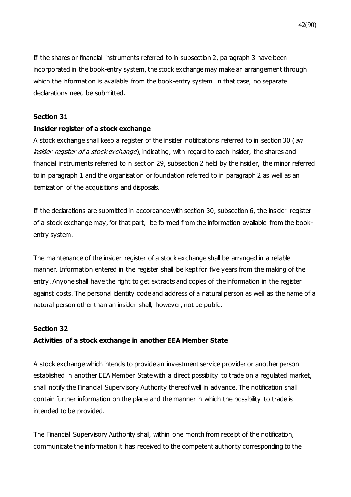If the shares or financial instruments referred to in subsection 2, paragraph 3 have been incorporated in the book-entry system, the stock exchange may make an arrangement through which the information is available from the book-entry system. In that case, no separate declarations need be submitted.

#### **Section 31**

#### **Insider register of a stock exchange**

A stock exchange shall keep a register of the insider notifications referred to in section 30 (an insider register of a stock exchange), indicating, with regard to each insider, the shares and financial instruments referred to in section 29, subsection 2 held by the insider, the minor referred to in paragraph 1 and the organisation or foundation referred to in paragraph 2 as well as an itemization of the acquisitions and disposals.

If the declarations are submitted in accordance with section 30, subsection 6, the insider register of a stock exchange may, for that part, be formed from the information available from the bookentry system.

The maintenance of the insider register of a stock exchange shall be arranged in a reliable manner. Information entered in the register shall be kept for five years from the making of the entry. Anyone shall have the right to get extracts and copies of the information in the register against costs. The personal identity code and address of a natural person as well as the name of a natural person other than an insider shall, however, not be public.

#### **Section 32**

### **Activities of a stock exchange in another EEA Member State**

A stock exchange which intends to provide an investment service provider or another person established in another EEA Member State with a direct possibility to trade on a regulated market, shall notify the Financial Supervisory Authority thereof well in advance. The notification shall contain further information on the place and the manner in which the possibility to trade is intended to be provided.

The Financial Supervisory Authority shall, within one month from receipt of the notification, communicate the information it has received to the competent authority corresponding to the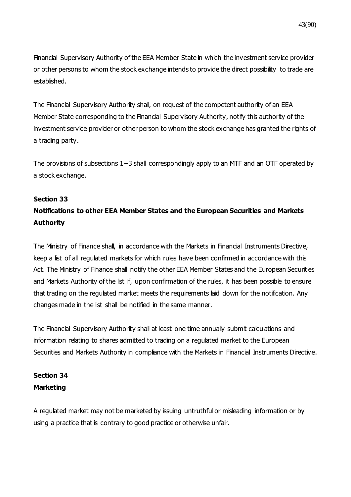43(90)

Financial Supervisory Authority of the EEA Member State in which the investment service provider or other persons to whom the stock exchange intends to provide the direct possibility to trade are established.

The Financial Supervisory Authority shall, on request of the competent authority of an EEA Member State corresponding to the Financial Supervisory Authority, notify this authority of the investment service provider or other person to whom the stock exchange has granted the rights of a trading party.

The provisions of subsections 1–3 shall correspondingly apply to an MTF and an OTF operated by a stock exchange.

### **Section 33**

# **Notifications to other EEA Member States and the European Securities and Markets Authority**

The Ministry of Finance shall, in accordance with the Markets in Financial Instruments Directive, keep a list of all regulated markets for which rules have been confirmed in accordance with this Act. The Ministry of Finance shall notify the other EEA Member States and the European Securities and Markets Authority of the list if, upon confirmation of the rules, it has been possible to ensure that trading on the regulated market meets the requirements laid down for the notification. Any changes made in the list shall be notified in the same manner.

The Financial Supervisory Authority shall at least one time annually submit calculations and information relating to shares admitted to trading on a regulated market to the European Securities and Markets Authority in compliance with the Markets in Financial Instruments Directive.

## **Section 34 Marketing**

A regulated market may not be marketed by issuing untruthful or misleading information or by using a practice that is contrary to good practice or otherwise unfair.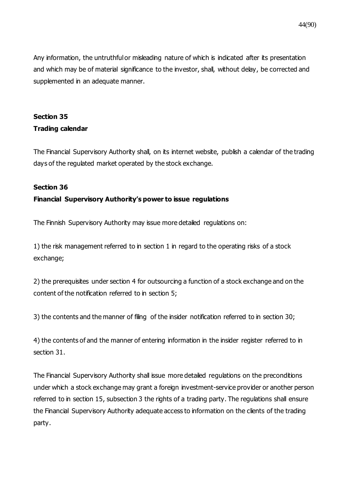Any information, the untruthful or misleading nature of which is indicated after its presentation and which may be of material significance to the investor, shall, without delay, be corrected and supplemented in an adequate manner.

## **Section 35 Trading calendar**

The Financial Supervisory Authority shall, on its internet website, publish a calendar of the trading days of the regulated market operated by the stock exchange.

### **Section 36**

### **Financial Supervisory Authority's power to issue regulations**

The Finnish Supervisory Authority may issue more detailed regulations on:

1) the risk management referred to in section 1 in regard to the operating risks of a stock exchange;

2) the prerequisites under section 4 for outsourcing a function of a stock exchange and on the content of the notification referred to in section 5;

3) the contents and the manner of filing of the insider notification referred to in section 30;

4) the contents of and the manner of entering information in the insider register referred to in section 31.

The Financial Supervisory Authority shall issue more detailed regulations on the preconditions under which a stock exchange may grant a foreign investment-service provider or another person referred to in section 15, subsection 3 the rights of a trading party. The regulations shall ensure the Financial Supervisory Authority adequate access to information on the clients of the trading party.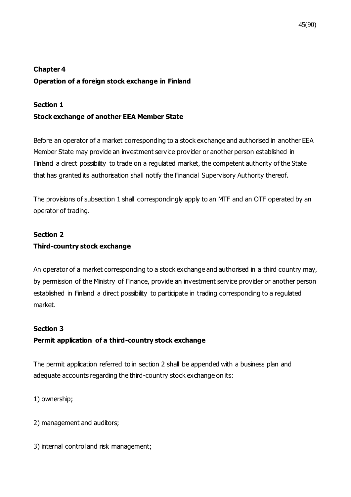## **Chapter 4 Operation of a foreign stock exchange in Finland**

### **Section 1**

## **Stock exchange of another EEA Member State**

Before an operator of a market corresponding to a stock exchange and authorised in another EEA Member State may provide an investment service provider or another person established in Finland a direct possibility to trade on a regulated market, the competent authority of the State that has granted its authorisation shall notify the Financial Supervisory Authority thereof.

The provisions of subsection 1 shall correspondingly apply to an MTF and an OTF operated by an operator of trading.

# **Section 2 Third-country stock exchange**

An operator of a market corresponding to a stock exchange and authorised in a third country may, by permission of the Ministry of Finance, provide an investment service provider or another person established in Finland a direct possibility to participate in trading corresponding to a regulated market.

## **Section 3**

## **Permit application of a third-country stock exchange**

The permit application referred to in section 2 shall be appended with a business plan and adequate accounts regarding the third-country stock exchange on its:

1) ownership;

2) management and auditors;

3) internal control and risk management;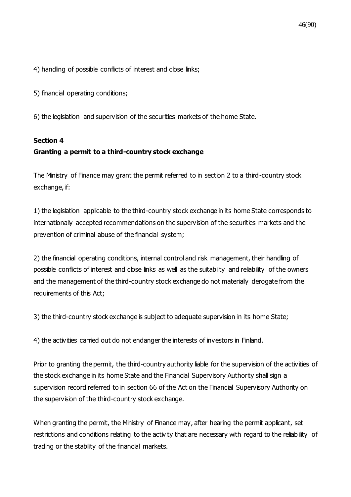4) handling of possible conflicts of interest and close links;

5) financial operating conditions;

6) the legislation and supervision of the securities markets of the home State.

### **Section 4**

## **Granting a permit to a third-country stock exchange**

The Ministry of Finance may grant the permit referred to in section 2 to a third-country stock exchange, if:

1) the legislation applicable to the third-country stock exchange in its home State corresponds to internationally accepted recommendations on the supervision of the securities markets and the prevention of criminal abuse of the financial system;

2) the financial operating conditions, internal control and risk management, their handling of possible conflicts of interest and close links as well as the suitability and reliability of the owners and the management of the third-country stock exchange do not materially derogate from the requirements of this Act;

3) the third-country stock exchange is subject to adequate supervision in its home State;

4) the activities carried out do not endanger the interests of investors in Finland.

Prior to granting the permit, the third-country authority liable for the supervision of the activities of the stock exchange in its home State and the Financial Supervisory Authority shall sign a supervision record referred to in section 66 of the Act on the Financial Supervisory Authority on the supervision of the third-country stock exchange.

When granting the permit, the Ministry of Finance may, after hearing the permit applicant, set restrictions and conditions relating to the activity that are necessary with regard to the reliability of trading or the stability of the financial markets.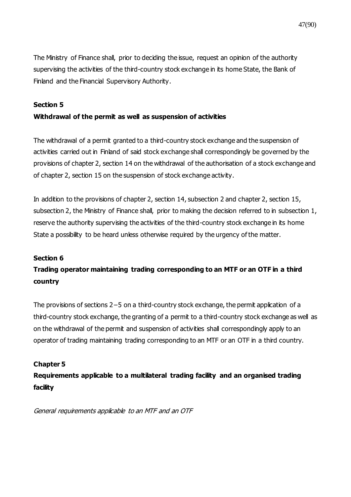The Ministry of Finance shall, prior to deciding the issue, request an opinion of the authority supervising the activities of the third-country stock exchange in its home State, the Bank of Finland and the Financial Supervisory Authority.

#### **Section 5**

### **Withdrawal of the permit as well as suspension of activities**

The withdrawal of a permit granted to a third-country stock exchange and the suspension of activities carried out in Finland of said stock exchange shall correspondingly be governed by the provisions of chapter 2, section 14 on the withdrawal of the authorisation of a stock exchange and of chapter 2, section 15 on the suspension of stock exchange activity.

In addition to the provisions of chapter 2, section 14, subsection 2 and chapter 2, section 15, subsection 2, the Ministry of Finance shall, prior to making the decision referred to in subsection 1, reserve the authority supervising the activities of the third-country stock exchange in its home State a possibility to be heard unless otherwise required by the urgency of the matter.

### **Section 6**

# **Trading operator maintaining trading corresponding to an MTF or an OTF in a third country**

The provisions of sections 2−5 on a third-country stock exchange, the permit application of a third-country stock exchange, the granting of a permit to a third-country stock exchange as well as on the withdrawal of the permit and suspension of activities shall correspondingly apply to an operator of trading maintaining trading corresponding to an MTF or an OTF in a third country.

### **Chapter 5**

**Requirements applicable to a multilateral trading facility and an organised trading facility**

General requirements applicable to an MTF and an OTF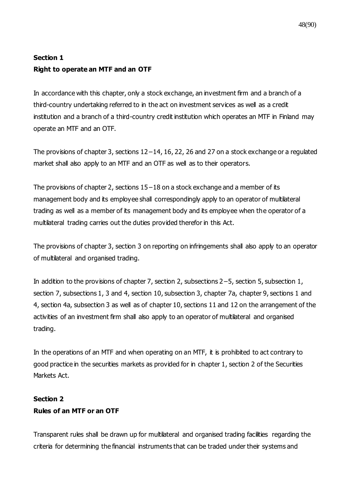# **Section 1 Right to operate an MTF and an OTF**

In accordance with this chapter, only a stock exchange, an investment firm and a branch of a third-country undertaking referred to in the act on investment services as well as a credit institution and a branch of a third-country credit institution which operates an MTF in Finland may operate an MTF and an OTF.

The provisions of chapter 3, sections 12−14, 16, 22, 26 and 27 on a stock exchange or a regulated market shall also apply to an MTF and an OTF as well as to their operators.

The provisions of chapter 2, sections 15−18 on a stock exchange and a member of its management body and its employee shall correspondingly apply to an operator of multilateral trading as well as a member of its management body and its employee when the operator of a multilateral trading carries out the duties provided therefor in this Act.

The provisions of chapter 3, section 3 on reporting on infringements shall also apply to an operator of multilateral and organised trading.

In addition to the provisions of chapter 7, section 2, subsections 2−5, section 5, subsection 1, section 7, subsections 1, 3 and 4, section 10, subsection 3, chapter 7a, chapter 9, sections 1 and 4, section 4a, subsection 3 as well as of chapter 10, sections 11 and 12 on the arrangement of the activities of an investment firm shall also apply to an operator of multilateral and organised trading.

In the operations of an MTF and when operating on an MTF, it is prohibited to act contrary to good practice in the securities markets as provided for in chapter 1, section 2 of the Securities Markets Act.

## **Section 2 Rules of an MTF or an OTF**

Transparent rules shall be drawn up for multilateral and organised trading facilities regarding the criteria for determining the financial instruments that can be traded under their systems and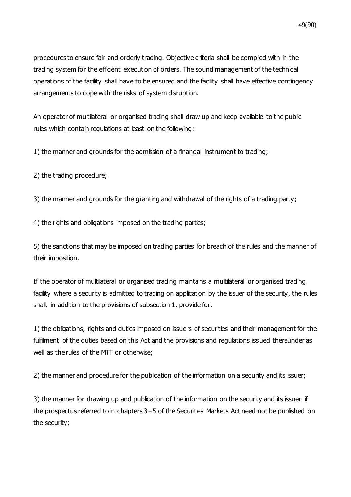procedures to ensure fair and orderly trading. Objective criteria shall be complied with in the trading system for the efficient execution of orders. The sound management of the technical operations of the facility shall have to be ensured and the facility shall have effective contingency arrangements to cope with the risks of system disruption.

An operator of multilateral or organised trading shall draw up and keep available to the public rules which contain regulations at least on the following:

1) the manner and grounds for the admission of a financial instrument to trading;

2) the trading procedure;

3) the manner and grounds for the granting and withdrawal of the rights of a trading party;

4) the rights and obligations imposed on the trading parties;

5) the sanctions that may be imposed on trading parties for breach of the rules and the manner of their imposition.

If the operator of multilateral or organised trading maintains a multilateral or organised trading facility where a security is admitted to trading on application by the issuer of the security, the rules shall, in addition to the provisions of subsection 1, provide for:

1) the obligations, rights and duties imposed on issuers of securities and their management for the fulfilment of the duties based on this Act and the provisions and regulations issued thereunder as well as the rules of the MTF or otherwise;

2) the manner and procedure for the publication of the information on a security and its issuer;

3) the manner for drawing up and publication of the information on the security and its issuer if the prospectus referred to in chapters 3−5 of the Securities Markets Act need not be published on the security;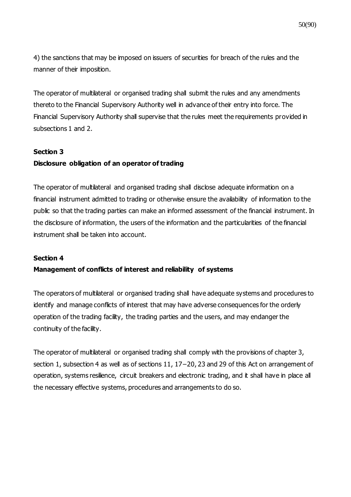50(90)

4) the sanctions that may be imposed on issuers of securities for breach of the rules and the manner of their imposition.

The operator of multilateral or organised trading shall submit the rules and any amendments thereto to the Financial Supervisory Authority well in advance of their entry into force. The Financial Supervisory Authority shall supervise that the rules meet the requirements provided in subsections 1 and 2.

### **Section 3**

### **Disclosure obligation of an operator of trading**

The operator of multilateral and organised trading shall disclose adequate information on a financial instrument admitted to trading or otherwise ensure the availability of information to the public so that the trading parties can make an informed assessment of the financial instrument. In the disclosure of information, the users of the information and the particularities of the financial instrument shall be taken into account.

### **Section 4**

### **Management of conflicts of interest and reliability of systems**

The operators of multilateral or organised trading shall have adequate systems and procedures to identify and manage conflicts of interest that may have adverse consequences for the orderly operation of the trading facility, the trading parties and the users, and may endanger the continuity of the facility.

The operator of multilateral or organised trading shall comply with the provisions of chapter 3, section 1, subsection 4 as well as of sections 11, 17−20, 23 and 29 of this Act on arrangement of operation, systems resilience, circuit breakers and electronic trading, and it shall have in place all the necessary effective systems, procedures and arrangements to do so.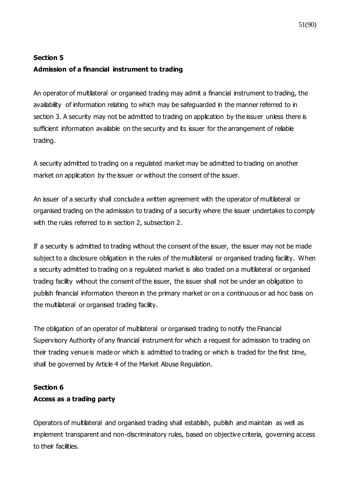### **Section 5**

### **Admission of a financial instrument to trading**

An operator of multilateral or organised trading may admit a financial instrument to trading, the availability of information relating to which may be safeguarded in the manner referred to in section 3. A security may not be admitted to trading on application by the issuer unless there is sufficient information available on the security and its issuer for the arrangement of reliable trading.

A security admitted to trading on a regulated market may be admitted to trading on another market on application by the issuer or without the consent of the issuer.

An issuer of a security shall conclude a written agreement with the operator of multilateral or organised trading on the admission to trading of a security where the issuer undertakes to comply with the rules referred to in section 2, subsection 2.

If a security is admitted to trading without the consent of the issuer, the issuer may not be made subject to a disclosure obligation in the rules of the multilateral or organised trading facility. When a security admitted to trading on a regulated market is also traded on a multilateral or organised trading facility without the consent of the issuer, the issuer shall not be under an obligation to publish financial information thereon in the primary market or on a continuous or ad hoc basis on the multilateral or organised trading facility.

The obligation of an operator of multilateral or organised trading to notify the Financial Supervisory Authority of any financial instrument for which a request for admission to trading on their trading venue is made or which is admitted to trading or which is traded for the first time, shall be governed by Article 4 of the Market Abuse Regulation.

### **Section 6**

## **Access as a trading party**

Operators of multilateral and organised trading shall establish, publish and maintain as well as implement transparent and non-discriminatory rules, based on objective criteria, governing access to their facilities.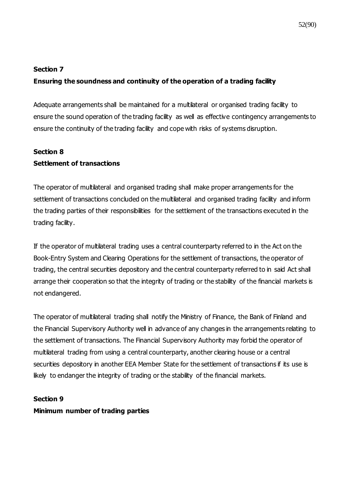#### **Section 7**

### **Ensuring the soundness and continuity of the operation of a trading facility**

Adequate arrangements shall be maintained for a multilateral or organised trading facility to ensure the sound operation of the trading facility as well as effective contingency arrangements to ensure the continuity of the trading facility and cope with risks of systems disruption.

### **Section 8**

### **Settlement of transactions**

The operator of multilateral and organised trading shall make proper arrangements for the settlement of transactions concluded on the multilateral and organised trading facility and inform the trading parties of their responsibilities for the settlement of the transactions executed in the trading facility.

If the operator of multilateral trading uses a central counterparty referred to in the Act on the Book-Entry System and Clearing Operations for the settlement of transactions, the operator of trading, the central securities depository and the central counterparty referred to in said Act shall arrange their cooperation so that the integrity of trading or the stability of the financial markets is not endangered.

The operator of multilateral trading shall notify the Ministry of Finance, the Bank of Finland and the Financial Supervisory Authority well in advance of any changes in the arrangements relating to the settlement of transactions. The Financial Supervisory Authority may forbid the operator of multilateral trading from using a central counterparty, another clearing house or a central securities depository in another EEA Member State for the settlement of transactions if its use is likely to endanger the integrity of trading or the stability of the financial markets.

#### **Section 9**

#### **Minimum number of trading parties**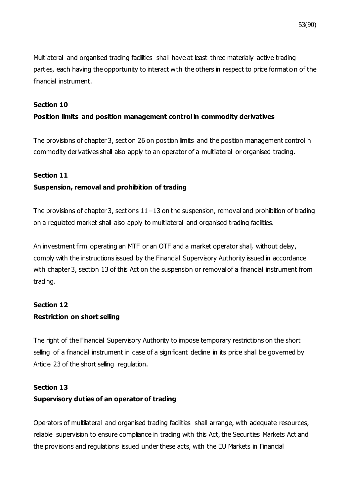Multilateral and organised trading facilities shall have at least three materially active trading parties, each having the opportunity to interact with the others in respect to price formation of the financial instrument.

#### **Section 10**

### **Position limits and position management control in commodity derivatives**

The provisions of chapter 3, section 26 on position limits and the position management control in commodity derivatives shall also apply to an operator of a multilateral or organised trading.

### **Section 11**

### **Suspension, removal and prohibition of trading**

The provisions of chapter 3, sections 11−13 on the suspension, removal and prohibition of trading on a regulated market shall also apply to multilateral and organised trading facilities.

An investment firm operating an MTF or an OTF and a market operator shall, without delay, comply with the instructions issued by the Financial Supervisory Authority issued in accordance with chapter 3, section 13 of this Act on the suspension or removal of a financial instrument from trading.

## **Section 12 Restriction on short selling**

The right of the Financial Supervisory Authority to impose temporary restrictions on the short selling of a financial instrument in case of a significant decline in its price shall be governed by Article 23 of the short selling regulation.

### **Section 13**

### **Supervisory duties of an operator of trading**

Operators of multilateral and organised trading facilities shall arrange, with adequate resources, reliable supervision to ensure compliance in trading with this Act, the Securities Markets Act and the provisions and regulations issued under these acts, with the EU Markets in Financial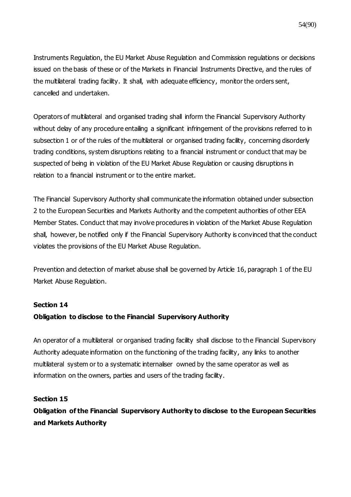Instruments Regulation, the EU Market Abuse Regulation and Commission regulations or decisions issued on the basis of these or of the Markets in Financial Instruments Directive, and the rules of the multilateral trading facility. It shall, with adequate efficiency, monitor the orders sent, cancelled and undertaken.

Operators of multilateral and organised trading shall inform the Financial Supervisory Authority without delay of any procedure entailing a significant infringement of the provisions referred to in subsection 1 or of the rules of the multilateral or organised trading facility, concerning disorderly trading conditions, system disruptions relating to a financial instrument or conduct that may be suspected of being in violation of the EU Market Abuse Regulation or causing disruptions in relation to a financial instrument or to the entire market.

The Financial Supervisory Authority shall communicate the information obtained under subsection 2 to the European Securities and Markets Authority and the competent authorities of other EEA Member States. Conduct that may involve procedures in violation of the Market Abuse Regulation shall, however, be notified only if the Financial Supervisory Authority is convinced that the conduct violates the provisions of the EU Market Abuse Regulation.

Prevention and detection of market abuse shall be governed by Article 16, paragraph 1 of the EU Market Abuse Regulation.

### **Section 14**

## **Obligation to disclose to the Financial Supervisory Authority**

An operator of a multilateral or organised trading facility shall disclose to the Financial Supervisory Authority adequate information on the functioning of the trading facility, any links to another multilateral system or to a systematic internaliser owned by the same operator as well as information on the owners, parties and users of the trading facility.

### **Section 15**

**Obligation of the Financial Supervisory Authority to disclose to the European Securities and Markets Authority**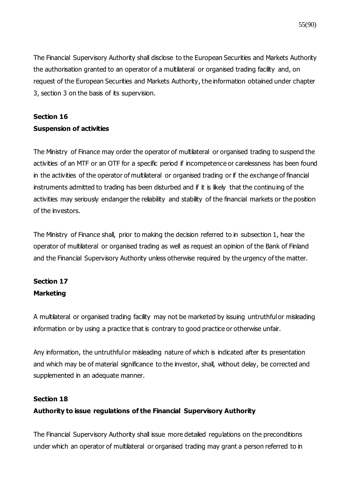The Financial Supervisory Authority shall disclose to the European Securities and Markets Authority the authorisation granted to an operator of a multilateral or organised trading facility and, on request of the European Securities and Markets Authority, the information obtained under chapter 3, section 3 on the basis of its supervision.

## **Section 16**

### **Suspension of activities**

The Ministry of Finance may order the operator of multilateral or organised trading to suspend the activities of an MTF or an OTF for a specific period if incompetence or carelessness has been found in the activities of the operator of multilateral or organised trading or if the exchange of financial instruments admitted to trading has been disturbed and if it is likely that the continuing of the activities may seriously endanger the reliability and stability of the financial markets or the position of the investors.

The Ministry of Finance shall, prior to making the decision referred to in subsection 1, hear the operator of multilateral or organised trading as well as request an opinion of the Bank of Finland and the Financial Supervisory Authority unless otherwise required by the urgency of the matter.

## **Section 17 Marketing**

A multilateral or organised trading facility may not be marketed by issuing untruthful or misleading information or by using a practice that is contrary to good practice or otherwise unfair.

Any information, the untruthful or misleading nature of which is indicated after its presentation and which may be of material significance to the investor, shall, without delay, be corrected and supplemented in an adequate manner.

## **Section 18**

## **Authority to issue regulations of the Financial Supervisory Authority**

The Financial Supervisory Authority shall issue more detailed regulations on the preconditions under which an operator of multilateral or organised trading may grant a person referred to in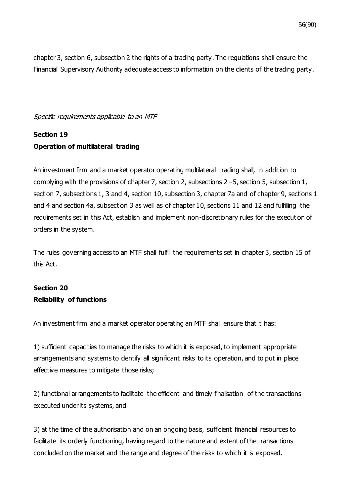chapter 3, section 6, subsection 2 the rights of a trading party. The regulations shall ensure the Financial Supervisory Authority adequate access to information on the clients of the trading party.

Specific requirements applicable to an MTF

# **Section 19 Operation of multilateral trading**

An investment firm and a market operator operating multilateral trading shall, in addition to complying with the provisions of chapter 7, section 2, subsections 2−5, section 5, subsection 1, section 7, subsections 1, 3 and 4, section 10, subsection 3, chapter 7a and of chapter 9, sections 1 and 4 and section 4a, subsection 3 as well as of chapter 10, sections 11 and 12 and fulfilling the requirements set in this Act, establish and implement non-discretionary rules for the execution of orders in the system.

The rules governing access to an MTF shall fulfil the requirements set in chapter 3, section 15 of this Act.

# **Section 20 Reliability of functions**

An investment firm and a market operator operating an MTF shall ensure that it has:

1) sufficient capacities to manage the risks to which it is exposed, to implement appropriate arrangements and systems to identify all significant risks to its operation, and to put in place effective measures to mitigate those risks;

2) functional arrangements to facilitate the efficient and timely finalisation of the transactions executed under its systems, and

3) at the time of the authorisation and on an ongoing basis, sufficient financial resources to facilitate its orderly functioning, having regard to the nature and extent of the transactions concluded on the market and the range and degree of the risks to which it is exposed.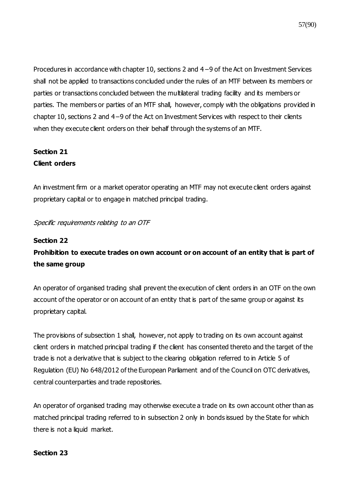Procedures in accordance with chapter 10, sections 2 and 4−9 of the Act on Investment Services shall not be applied to transactions concluded under the rules of an MTF between its members or parties or transactions concluded between the multilateral trading facility and its members or parties. The members or parties of an MTF shall, however, comply with the obligations provided in chapter 10, sections 2 and 4−9 of the Act on Investment Services with respect to their clients when they execute client orders on their behalf through the systems of an MTF.

## **Section 21 Client orders**

An investment firm or a market operator operating an MTF may not execute client orders against proprietary capital or to engage in matched principal trading.

## Specific requirements relating to an OTF

### **Section 22**

# **Prohibition to execute trades on own account or on account of an entity that is part of the same group**

An operator of organised trading shall prevent the execution of client orders in an OTF on the own account of the operator or on account of an entity that is part of the same group or against its proprietary capital.

The provisions of subsection 1 shall, however, not apply to trading on its own account against client orders in matched principal trading if the client has consented thereto and the target of the trade is not a derivative that is subject to the clearing obligation referred to in Article 5 of Regulation (EU) No 648/2012 of the European Parliament and of the Council on OTC derivatives, central counterparties and trade repositories.

An operator of organised trading may otherwise execute a trade on its own account other than as matched principal trading referred to in subsection 2 only in bonds issued by the State for which there is not a liquid market.

### **Section 23**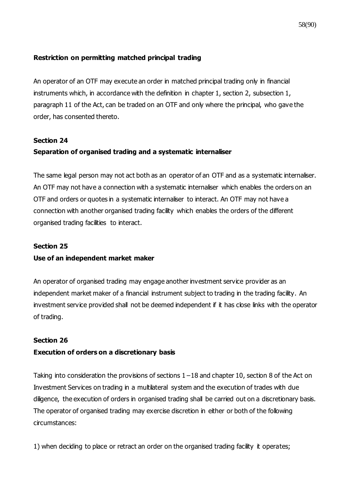### **Restriction on permitting matched principal trading**

An operator of an OTF may execute an order in matched principal trading only in financial instruments which, in accordance with the definition in chapter 1, section 2, subsection 1, paragraph 11 of the Act, can be traded on an OTF and only where the principal, who gave the order, has consented thereto.

## **Section 24 Separation of organised trading and a systematic internaliser**

The same legal person may not act both as an operator of an OTF and as a systematic internaliser. An OTF may not have a connection with a systematic internaliser which enables the orders on an OTF and orders or quotes in a systematic internaliser to interact. An OTF may not have a connection with another organised trading facility which enables the orders of the different organised trading facilities to interact.

### **Section 25**

### **Use of an independent market maker**

An operator of organised trading may engage another investment service provider as an independent market maker of a financial instrument subject to trading in the trading facility. An investment service provided shall not be deemed independent if it has close links with the operator of trading.

### **Section 26**

### **Execution of orders on a discretionary basis**

Taking into consideration the provisions of sections 1−18 and chapter 10, section 8 of the Act on Investment Services on trading in a multilateral system and the execution of trades with due diligence, the execution of orders in organised trading shall be carried out on a discretionary basis. The operator of organised trading may exercise discretion in either or both of the following circumstances:

1) when deciding to place or retract an order on the organised trading facility it operates;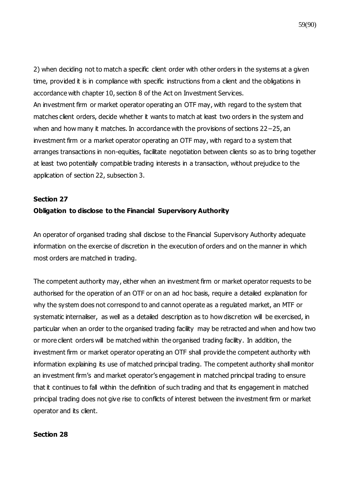59(90)

2) when deciding not to match a specific client order with other orders in the systems at a given time, provided it is in compliance with specific instructions from a client and the obligations in accordance with chapter 10, section 8 of the Act on Investment Services. An investment firm or market operator operating an OTF may, with regard to the system that matches client orders, decide whether it wants to match at least two orders in the system and when and how many it matches. In accordance with the provisions of sections 22−25, an investment firm or a market operator operating an OTF may, with regard to a system that arranges transactions in non-equities, facilitate negotiation between clients so as to bring together at least two potentially compatible trading interests in a transaction, without prejudice to the application of section 22, subsection 3.

# **Section 27 Obligation to disclose to the Financial Supervisory Authority**

An operator of organised trading shall disclose to the Financial Supervisory Authority adequate information on the exercise of discretion in the execution of orders and on the manner in which most orders are matched in trading.

The competent authority may, either when an investment firm or market operator requests to be authorised for the operation of an OTF or on an ad hoc basis, require a detailed explanation for why the system does not correspond to and cannot operate as a regulated market, an MTF or systematic internaliser, as well as a detailed description as to how discretion will be exercised, in particular when an order to the organised trading facility may be retracted and when and how two or more client orders will be matched within the organised trading facility. In addition, the investment firm or market operator operating an OTF shall provide the competent authority with information explaining its use of matched principal trading. The competent authority shall monitor an investment firm's and market operator's engagement in matched principal trading to ensure that it continues to fall within the definition of such trading and that its engagement in matched principal trading does not give rise to conflicts of interest between the investment firm or market operator and its client.

### **Section 28**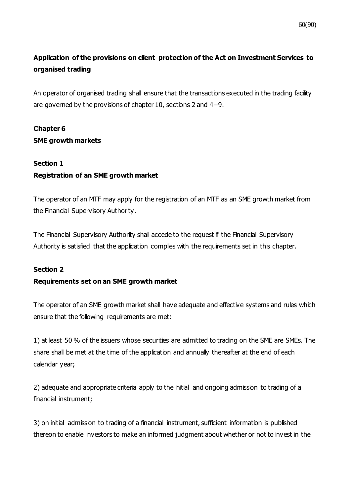# **Application of the provisions on client protection of the Act on Investment Services to organised trading**

An operator of organised trading shall ensure that the transactions executed in the trading facility are governed by the provisions of chapter 10, sections 2 and 4−9.

# **Chapter 6 SME growth markets**

### **Section 1**

## **Registration of an SME growth market**

The operator of an MTF may apply for the registration of an MTF as an SME growth market from the Financial Supervisory Authority.

The Financial Supervisory Authority shall accede to the request if the Financial Supervisory Authority is satisfied that the application complies with the requirements set in this chapter.

### **Section 2**

### **Requirements set on an SME growth market**

The operator of an SME growth market shall have adequate and effective systems and rules which ensure that the following requirements are met:

1) at least 50 % of the issuers whose securities are admitted to trading on the SME are SMEs. The share shall be met at the time of the application and annually thereafter at the end of each calendar year;

2) adequate and appropriate criteria apply to the initial and ongoing admission to trading of a financial instrument;

3) on initial admission to trading of a financial instrument, sufficient information is published thereon to enable investors to make an informed judgment about whether or not to invest in the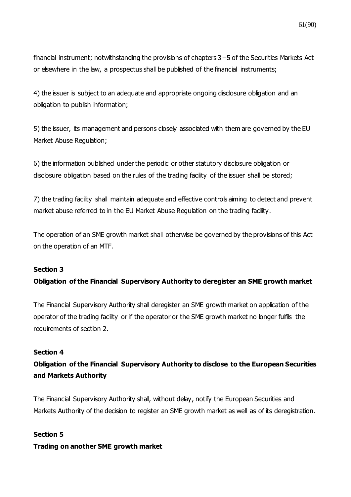financial instrument; notwithstanding the provisions of chapters 3−5 of the Securities Markets Act or elsewhere in the law, a prospectus shall be published of the financial instruments;

4) the issuer is subject to an adequate and appropriate ongoing disclosure obligation and an obligation to publish information;

5) the issuer, its management and persons closely associated with them are governed by the EU Market Abuse Regulation;

6) the information published under the periodic or other statutory disclosure obligation or disclosure obligation based on the rules of the trading facility of the issuer shall be stored;

7) the trading facility shall maintain adequate and effective controls aiming to detect and prevent market abuse referred to in the EU Market Abuse Regulation on the trading facility.

The operation of an SME growth market shall otherwise be governed by the provisions of this Act on the operation of an MTF.

### **Section 3**

## **Obligation of the Financial Supervisory Authority to deregister an SME growth market**

The Financial Supervisory Authority shall deregister an SME growth market on application of the operator of the trading facility or if the operator or the SME growth market no longer fulfils the requirements of section 2.

### **Section 4**

# **Obligation of the Financial Supervisory Authority to disclose to the European Securities and Markets Authority**

The Financial Supervisory Authority shall, without delay, notify the European Securities and Markets Authority of the decision to register an SME growth market as well as of its deregistration.

# **Section 5 Trading on another SME growth market**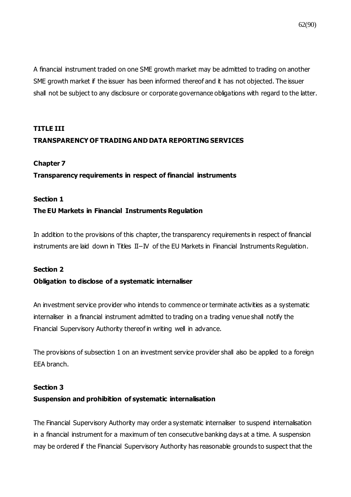A financial instrument traded on one SME growth market may be admitted to trading on another SME growth market if the issuer has been informed thereof and it has not objected. The issuer shall not be subject to any disclosure or corporate governance obligations with regard to the latter.

# **TITLE III TRANSPARENCY OF TRADING AND DATA REPORTING SERVICES**

#### **Chapter 7**

### **Transparency requirements in respect of financial instruments**

#### **Section 1**

#### **The EU Markets in Financial Instruments Regulation**

In addition to the provisions of this chapter, the transparency requirements in respect of financial instruments are laid down in Titles II−IV of the EU Markets in Financial Instruments Regulation.

#### **Section 2**

#### **Obligation to disclose of a systematic internaliser**

An investment service provider who intends to commence or terminate activities as a systematic internaliser in a financial instrument admitted to trading on a trading venue shall notify the Financial Supervisory Authority thereof in writing well in advance.

The provisions of subsection 1 on an investment service provider shall also be applied to a foreign EEA branch.

#### **Section 3**

#### **Suspension and prohibition of systematic internalisation**

The Financial Supervisory Authority may order a systematic internaliser to suspend internalisation in a financial instrument for a maximum of ten consecutive banking days at a time. A suspension may be ordered if the Financial Supervisory Authority has reasonable grounds to suspect that the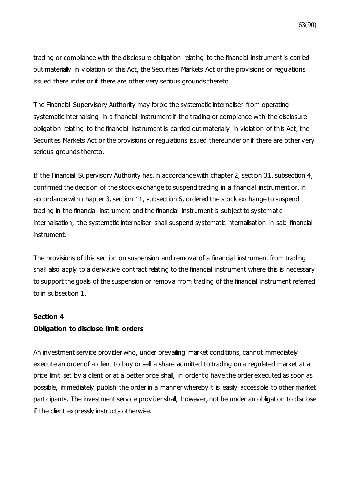trading or compliance with the disclosure obligation relating to the financial instrument is carried out materially in violation of this Act, the Securities Markets Act or the provisions or regulations issued thereunder or if there are other very serious grounds thereto.

The Financial Supervisory Authority may forbid the systematic internaliser from operating systematic internalising in a financial instrument if the trading or compliance with the disclosure obligation relating to the financial instrument is carried out materially in violation of this Act, the Securities Markets Act or the provisions or regulations issued thereunder or if there are other very serious grounds thereto.

If the Financial Supervisory Authority has, in accordance with chapter 2, section 31, subsection 4, confirmed the decision of the stock exchange to suspend trading in a financial instrument or, in accordance with chapter 3, section 11, subsection 6, ordered the stock exchange to suspend trading in the financial instrument and the financial instrument is subject to systematic internalisation, the systematic internaliser shall suspend systematic internalisation in said financial instrument.

The provisions of this section on suspension and removal of a financial instrument from trading shall also apply to a derivative contract relating to the financial instrument where this is necessary to support the goals of the suspension or removal from trading of the financial instrument referred to in subsection 1.

#### **Section 4**

### **Obligation to disclose limit orders**

An investment service provider who, under prevailing market conditions, cannot immediately execute an order of a client to buy or sell a share admitted to trading on a regulated market at a price limit set by a client or at a better price shall, in order to have the order executed as soon as possible, immediately publish the order in a manner whereby it is easily accessible to other market participants. The investment service provider shall, however, not be under an obligation to disclose if the client expressly instructs otherwise.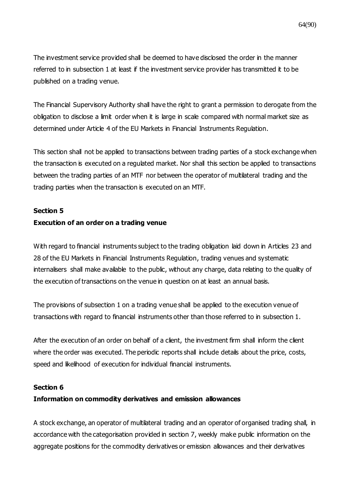The investment service provided shall be deemed to have disclosed the order in the manner referred to in subsection 1 at least if the investment service provider has transmitted it to be published on a trading venue.

The Financial Supervisory Authority shall have the right to grant a permission to derogate from the obligation to disclose a limit order when it is large in scale compared with normal market size as determined under Article 4 of the EU Markets in Financial Instruments Regulation.

This section shall not be applied to transactions between trading parties of a stock exchange when the transaction is executed on a regulated market. Nor shall this section be applied to transactions between the trading parties of an MTF nor between the operator of multilateral trading and the trading parties when the transaction is executed on an MTF.

### **Section 5**

### **Execution of an order on a trading venue**

With regard to financial instruments subject to the trading obligation laid down in Articles 23 and 28 of the EU Markets in Financial Instruments Regulation, trading venues and systematic internalisers shall make available to the public, without any charge, data relating to the quality of the execution of transactions on the venue in question on at least an annual basis.

The provisions of subsection 1 on a trading venue shall be applied to the execution venue of transactions with regard to financial instruments other than those referred to in subsection 1.

After the execution of an order on behalf of a client, the investment firm shall inform the client where the order was executed. The periodic reports shall include details about the price, costs, speed and likelihood of execution for individual financial instruments.

#### **Section 6**

### **Information on commodity derivatives and emission allowances**

A stock exchange, an operator of multilateral trading and an operator of organised trading shall, in accordance with the categorisation provided in section 7, weekly make public information on the aggregate positions for the commodity derivatives or emission allowances and their derivatives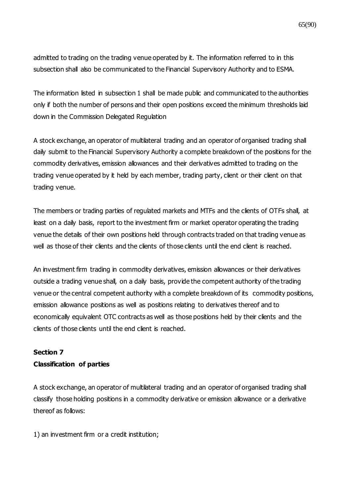admitted to trading on the trading venue operated by it. The information referred to in this subsection shall also be communicated to the Financial Supervisory Authority and to ESMA.

The information listed in subsection 1 shall be made public and communicated to the authorities only if both the number of persons and their open positions exceed the minimum thresholds laid down in the Commission Delegated Regulation

A stock exchange, an operator of multilateral trading and an operator of organised trading shall daily submit to the Financial Supervisory Authority a complete breakdown of the positions for the commodity derivatives, emission allowances and their derivatives admitted to trading on the trading venue operated by it held by each member, trading party, client or their client on that trading venue.

The members or trading parties of regulated markets and MTFs and the clients of OTFs shall, at least on a daily basis, report to the investment firm or market operator operating the trading venue the details of their own positions held through contracts traded on that trading venue as well as those of their clients and the clients of those clients until the end client is reached.

An investment firm trading in commodity derivatives, emission allowances or their derivatives outside a trading venue shall, on a daily basis, provide the competent authority of the trading venue or the central competent authority with a complete breakdown of its commodity positions, emission allowance positions as well as positions relating to derivatives thereof and to economically equivalent OTC contracts as well as those positions held by their clients and the clients of those clients until the end client is reached.

## **Section 7 Classification of parties**

A stock exchange, an operator of multilateral trading and an operator of organised trading shall classify those holding positions in a commodity derivative or emission allowance or a derivative thereof as follows:

1) an investment firm or a credit institution;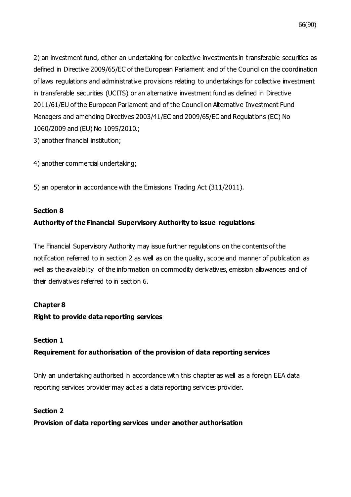2) an investment fund, either an undertaking for collective investments in transferable securities as defined in Directive 2009/65/EC of the European Parliament and of the Council on the coordination of laws regulations and administrative provisions relating to undertakings for collective investment in transferable securities (UCITS) or an alternative investment fund as defined in Directive 2011/61/EU of the European Parliament and of the Council on Alternative Investment Fund Managers and amending Directives 2003/41/EC and 2009/65/EC and Regulations (EC) No 1060/2009 and (EU) No 1095/2010.; 3) another financial institution;

4) another commercial undertaking;

5) an operator in accordance with the Emissions Trading Act (311/2011).

### **Section 8**

## **Authority of the Financial Supervisory Authority to issue regulations**

The Financial Supervisory Authority may issue further regulations on the contents of the notification referred to in section 2 as well as on the quality, scope and manner of publication as well as the availability of the information on commodity derivatives, emission allowances and of their derivatives referred to in section 6.

## **Chapter 8**

## **Right to provide data reporting services**

### **Section 1**

## **Requirement for authorisation of the provision of data reporting services**

Only an undertaking authorised in accordance with this chapter as well as a foreign EEA data reporting services provider may act as a data reporting services provider.

### **Section 2**

**Provision of data reporting services under another authorisation**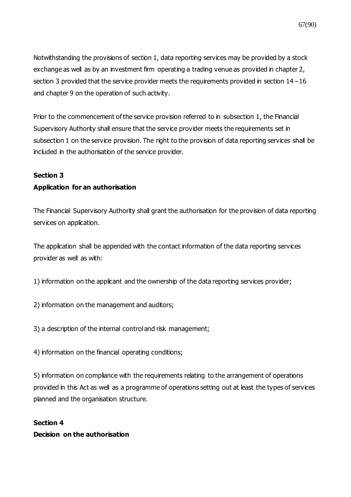Notwithstanding the provisions of section 1, data reporting services may be provided by a stock exchange as well as by an investment firm operating a trading venue as provided in chapter 2, section 3 provided that the service provider meets the requirements provided in section 14−16 and chapter 9 on the operation of such activity.

Prior to the commencement of the service provision referred to in subsection 1, the Financial Supervisory Authority shall ensure that the service provider meets the requirements set in subsection 1 on the service provision. The right to the provision of data reporting services shall be included in the authorisation of the service provider.

## **Section 3**

## **Application for an authorisation**

The Financial Supervisory Authority shall grant the authorisation for the provision of data reporting services on application.

The application shall be appended with the contact information of the data reporting services provider as well as with:

1) information on the applicant and the ownership of the data reporting services provider;

2) information on the management and auditors;

3) a description of the internal control and risk management;

4) information on the financial operating conditions;

5) information on compliance with the requirements relating to the arrangement of operations provided in this Act as well as a programme of operations setting out at least the types of services planned and the organisation structure.

# **Section 4 Decision on the authorisation**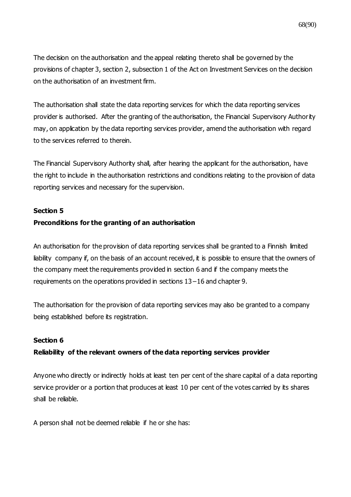68(90)

The decision on the authorisation and the appeal relating thereto shall be governed by the provisions of chapter 3, section 2, subsection 1 of the Act on Investment Services on the decision on the authorisation of an investment firm.

The authorisation shall state the data reporting services for which the data reporting services provider is authorised. After the granting of the authorisation, the Financial Supervisory Authority may, on application by the data reporting services provider, amend the authorisation with regard to the services referred to therein.

The Financial Supervisory Authority shall, after hearing the applicant for the authorisation, have the right to include in the authorisation restrictions and conditions relating to the provision of data reporting services and necessary for the supervision.

#### **Section 5**

### **Preconditions for the granting of an authorisation**

An authorisation for the provision of data reporting services shall be granted to a Finnish limited liability company if, on the basis of an account received, it is possible to ensure that the owners of the company meet the requirements provided in section 6 and if the company meets the requirements on the operations provided in sections 13−16 and chapter 9.

The authorisation for the provision of data reporting services may also be granted to a company being established before its registration.

#### **Section 6**

### **Reliability of the relevant owners of the data reporting services provider**

Anyone who directly or indirectly holds at least ten per cent of the share capital of a data reporting service provider or a portion that produces at least 10 per cent of the votes carried by its shares shall be reliable.

A person shall not be deemed reliable if he or she has: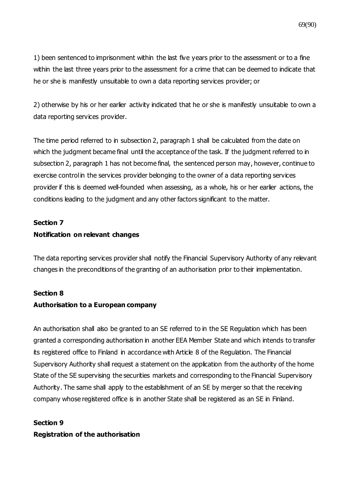1) been sentenced to imprisonment within the last five years prior to the assessment or to a fine within the last three years prior to the assessment for a crime that can be deemed to indicate that he or she is manifestly unsuitable to own a data reporting services provider; or

2) otherwise by his or her earlier activity indicated that he or she is manifestly unsuitable to own a data reporting services provider.

The time period referred to in subsection 2, paragraph 1 shall be calculated from the date on which the judgment became final until the acceptance of the task. If the judgment referred to in subsection 2, paragraph 1 has not become final, the sentenced person may, however, continue to exercise control in the services provider belonging to the owner of a data reporting services provider if this is deemed well-founded when assessing, as a whole, his or her earlier actions, the conditions leading to the judgment and any other factors significant to the matter.

# **Section 7 Notification on relevant changes**

The data reporting services provider shall notify the Financial Supervisory Authority of any relevant changes in the preconditions of the granting of an authorisation prior to their implementation.

### **Section 8**

## **Authorisation to a European company**

An authorisation shall also be granted to an SE referred to in the SE Regulation which has been granted a corresponding authorisation in another EEA Member State and which intends to transfer its registered office to Finland in accordance with Article 8 of the Regulation. The Financial Supervisory Authority shall request a statement on the application from the authority of the home State of the SE supervising the securities markets and corresponding to the Financial Supervisory Authority. The same shall apply to the establishment of an SE by merger so that the receiving company whose registered office is in another State shall be registered as an SE in Finland.

# **Section 9**

## **Registration of the authorisation**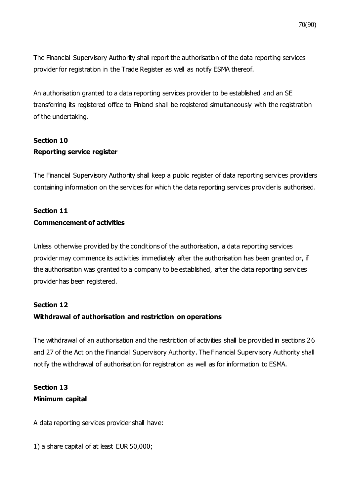The Financial Supervisory Authority shall report the authorisation of the data reporting services provider for registration in the Trade Register as well as notify ESMA thereof.

An authorisation granted to a data reporting services provider to be established and an SE transferring its registered office to Finland shall be registered simultaneously with the registration of the undertaking.

## **Section 10 Reporting service register**

The Financial Supervisory Authority shall keep a public register of data reporting services providers containing information on the services for which the data reporting services provider is authorised.

## **Section 11 Commencement of activities**

Unless otherwise provided by the conditions of the authorisation, a data reporting services provider may commence its activities immediately after the authorisation has been granted or, if the authorisation was granted to a company to be established, after the data reporting services provider has been registered.

## **Section 12**

## **Withdrawal of authorisation and restriction on operations**

The withdrawal of an authorisation and the restriction of activities shall be provided in sections 26 and 27 of the Act on the Financial Supervisory Authority. The Financial Supervisory Authority shall notify the withdrawal of authorisation for registration as well as for information to ESMA.

## **Section 13 Minimum capital**

A data reporting services provider shall have:

1) a share capital of at least EUR 50,000;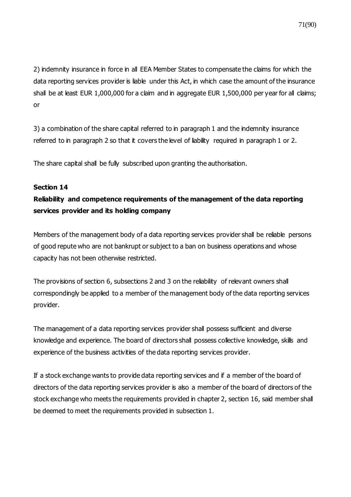2) indemnity insurance in force in all EEA Member States to compensate the claims for which the data reporting services provider is liable under this Act, in which case the amount of the insurance shall be at least EUR 1,000,000 for a claim and in aggregate EUR 1,500,000 per year for all claims; or

3) a combination of the share capital referred to in paragraph 1 and the indemnity insurance referred to in paragraph 2 so that it covers the level of liability required in paragraph 1 or 2.

The share capital shall be fully subscribed upon granting the authorisation.

### **Section 14**

# **Reliability and competence requirements of the management of the data reporting services provider and its holding company**

Members of the management body of a data reporting services provider shall be reliable persons of good repute who are not bankrupt or subject to a ban on business operations and whose capacity has not been otherwise restricted.

The provisions of section 6, subsections 2 and 3 on the reliability of relevant owners shall correspondingly be applied to a member of the management body of the data reporting services provider.

The management of a data reporting services provider shall possess sufficient and diverse knowledge and experience. The board of directors shall possess collective knowledge, skills and experience of the business activities of the data reporting services provider.

If a stock exchange wants to provide data reporting services and if a member of the board of directors of the data reporting services provider is also a member of the board of directors of the stock exchange who meets the requirements provided in chapter 2, section 16, said member shall be deemed to meet the requirements provided in subsection 1.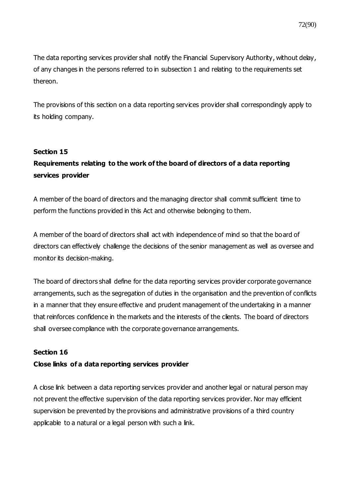The data reporting services provider shall notify the Financial Supervisory Authority, without delay, of any changes in the persons referred to in subsection 1 and relating to the requirements set thereon.

The provisions of this section on a data reporting services provider shall correspondingly apply to its holding company.

### **Section 15**

# **Requirements relating to the work of the board of directors of a data reporting services provider**

A member of the board of directors and the managing director shall commit sufficient time to perform the functions provided in this Act and otherwise belonging to them.

A member of the board of directors shall act with independence of mind so that the board of directors can effectively challenge the decisions of the senior management as well as oversee and monitor its decision-making.

The board of directors shall define for the data reporting services provider corporate governance arrangements, such as the segregation of duties in the organisation and the prevention of conflicts in a manner that they ensure effective and prudent management of the undertaking in a manner that reinforces confidence in the markets and the interests of the clients. The board of directors shall oversee compliance with the corporate governance arrangements.

#### **Section 16**

#### **Close links of a data reporting services provider**

A close link between a data reporting services provider and another legal or natural person may not prevent the effective supervision of the data reporting services provider. Nor may efficient supervision be prevented by the provisions and administrative provisions of a third country applicable to a natural or a legal person with such a link.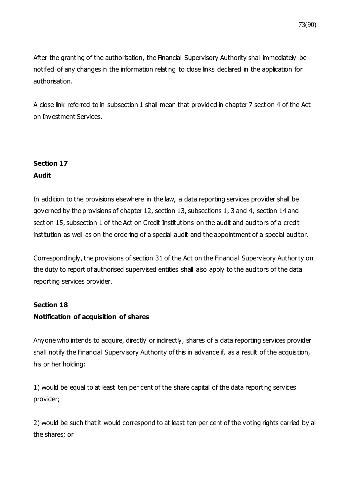After the granting of the authorisation, the Financial Supervisory Authority shall immediately be notified of any changes in the information relating to close links declared in the application for authorisation.

A close link referred to in subsection 1 shall mean that provided in chapter 7 section 4 of the Act on Investment Services.

### **Section 17 Audit**

In addition to the provisions elsewhere in the law, a data reporting services provider shall be governed by the provisions of chapter 12, section 13, subsections 1, 3 and 4, section 14 and section 15, subsection 1 of the Act on Credit Institutions on the audit and auditors of a credit institution as well as on the ordering of a special audit and the appointment of a special auditor.

Correspondingly, the provisions of section 31 of the Act on the Financial Supervisory Authority on the duty to report of authorised supervised entities shall also apply to the auditors of the data reporting services provider.

## **Section 18 Notification of acquisition of shares**

Anyone who intends to acquire, directly or indirectly, shares of a data reporting services provider shall notify the Financial Supervisory Authority of this in advance if, as a result of the acquisition, his or her holding:

1) would be equal to at least ten per cent of the share capital of the data reporting services provider;

2) would be such that it would correspond to at least ten per cent of the voting rights carried by all the shares; or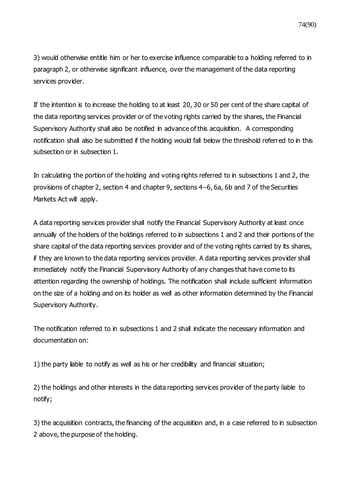3) would otherwise entitle him or her to exercise influence comparable to a holding referred to in paragraph 2, or otherwise significant influence, over the management of the data reporting services provider.

If the intention is to increase the holding to at least 20, 30 or 50 per cent of the share capital of the data reporting services provider or of the voting rights carried by the shares, the Financial Supervisory Authority shall also be notified in advance of this acquisition. A corresponding notification shall also be submitted if the holding would fall below the threshold referred to in this subsection or in subsection 1.

In calculating the portion of the holding and voting rights referred to in subsections 1 and 2, the provisions of chapter 2, section 4 and chapter 9, sections 4–6, 6a, 6b and 7 of the Securities Markets Act will apply.

A data reporting services provider shall notify the Financial Supervisory Authority at least once annually of the holders of the holdings referred to in subsections 1 and 2 and their portions of the share capital of the data reporting services provider and of the voting rights carried by its shares, if they are known to the data reporting services provider. A data reporting services provider shall immediately notify the Financial Supervisory Authority of any changes that have come to its attention regarding the ownership of holdings. The notification shall include sufficient information on the size of a holding and on its holder as well as other information determined by the Financial Supervisory Authority.

The notification referred to in subsections 1 and 2 shall indicate the necessary information and documentation on:

1) the party liable to notify as well as his or her credibility and financial situation;

2) the holdings and other interests in the data reporting services provider of the party liable to notify;

3) the acquisition contracts, the financing of the acquisition and, in a case referred to in subsection 2 above, the purpose of the holding.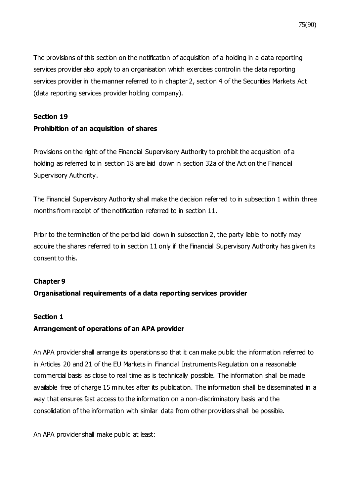The provisions of this section on the notification of acquisition of a holding in a data reporting services provider also apply to an organisation which exercises control in the data reporting services provider in the manner referred to in chapter 2, section 4 of the Securities Markets Act (data reporting services provider holding company).

### **Section 19**

### **Prohibition of an acquisition of shares**

Provisions on the right of the Financial Supervisory Authority to prohibit the acquisition of a holding as referred to in section 18 are laid down in section 32a of the Act on the Financial Supervisory Authority.

The Financial Supervisory Authority shall make the decision referred to in subsection 1 within three months from receipt of the notification referred to in section 11.

Prior to the termination of the period laid down in subsection 2, the party liable to notify may acquire the shares referred to in section 11 only if the Financial Supervisory Authority has given its consent to this.

### **Chapter 9**

### **Organisational requirements of a data reporting services provider**

### **Section 1**

### **Arrangement of operations of an APA provider**

An APA provider shall arrange its operations so that it can make public the information referred to in Articles 20 and 21 of the EU Markets in Financial Instruments Regulation on a reasonable commercial basis as close to real time as is technically possible. The information shall be made available free of charge 15 minutes after its publication. The information shall be disseminated in a way that ensures fast access to the information on a non-discriminatory basis and the consolidation of the information with similar data from other providers shall be possible.

An APA provider shall make public at least: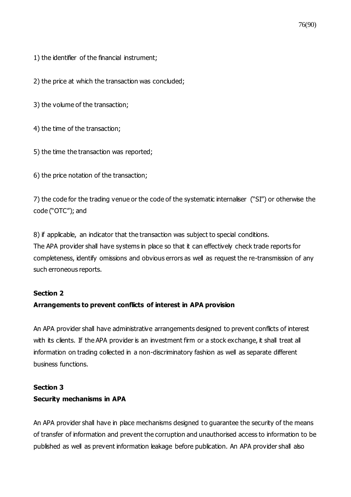1) the identifier of the financial instrument;

2) the price at which the transaction was concluded;

3) the volume of the transaction;

4) the time of the transaction;

5) the time the transaction was reported;

6) the price notation of the transaction;

7) the code for the trading venue or the code of the systematic internaliser ("SI") or otherwise the code ("OTC"); and

8) if applicable, an indicator that the transaction was subject to special conditions. The APA provider shall have systems in place so that it can effectively check trade reports for completeness, identify omissions and obvious errors as well as request the re-transmission of any such erroneous reports.

### **Section 2**

### **Arrangements to prevent conflicts of interest in APA provision**

An APA provider shall have administrative arrangements designed to prevent conflicts of interest with its clients. If the APA provider is an investment firm or a stock exchange, it shall treat all information on trading collected in a non-discriminatory fashion as well as separate different business functions.

### **Section 3 Security mechanisms in APA**

An APA provider shall have in place mechanisms designed to guarantee the security of the means of transfer of information and prevent the corruption and unauthorised access to information to be published as well as prevent information leakage before publication. An APA provider shall also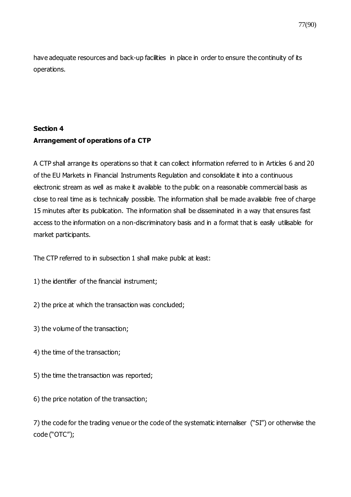have adequate resources and back-up facilities in place in order to ensure the continuity of its operations.

# **Section 4 Arrangement of operations of a CTP**

A CTP shall arrange its operations so that it can collect information referred to in Articles 6 and 20 of the EU Markets in Financial Instruments Regulation and consolidate it into a continuous electronic stream as well as make it available to the public on a reasonable commercial basis as close to real time as is technically possible. The information shall be made available free of charge 15 minutes after its publication. The information shall be disseminated in a way that ensures fast access to the information on a non-discriminatory basis and in a format that is easily utilisable for market participants.

The CTP referred to in subsection 1 shall make public at least:

- 1) the identifier of the financial instrument;
- 2) the price at which the transaction was concluded;
- 3) the volume of the transaction;
- 4) the time of the transaction;
- 5) the time the transaction was reported;
- 6) the price notation of the transaction;

7) the code for the trading venue or the code of the systematic internaliser ("SI") or otherwise the code ("OTC");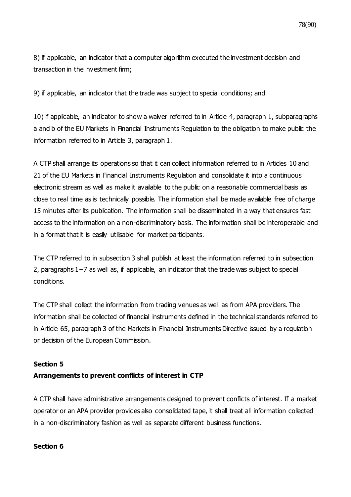8) if applicable, an indicator that a computer algorithm executed the investment decision and transaction in the investment firm;

9) if applicable, an indicator that the trade was subject to special conditions; and

10) if applicable, an indicator to show a waiver referred to in Article 4, paragraph 1, subparagraphs a and b of the EU Markets in Financial Instruments Regulation to the obligation to make public the information referred to in Article 3, paragraph 1.

A CTP shall arrange its operations so that it can collect information referred to in Articles 10 and 21 of the EU Markets in Financial Instruments Regulation and consolidate it into a continuous electronic stream as well as make it available to the public on a reasonable commercial basis as close to real time as is technically possible. The information shall be made available free of charge 15 minutes after its publication. The information shall be disseminated in a way that ensures fast access to the information on a non-discriminatory basis. The information shall be interoperable and in a format that it is easily utilisable for market participants.

The CTP referred to in subsection 3 shall publish at least the information referred to in subsection 2, paragraphs 1−7 as well as, if applicable, an indicator that the trade was subject to special conditions.

The CTP shall collect the information from trading venues as well as from APA providers. The information shall be collected of financial instruments defined in the technical standards referred to in Article 65, paragraph 3 of the Markets in Financial Instruments Directive issued by a regulation or decision of the European Commission.

### **Section 5**

### **Arrangements to prevent conflicts of interest in CTP**

A CTP shall have administrative arrangements designed to prevent conflicts of interest. If a market operator or an APA provider provides also consolidated tape, it shall treat all information collected in a non-discriminatory fashion as well as separate different business functions.

### **Section 6**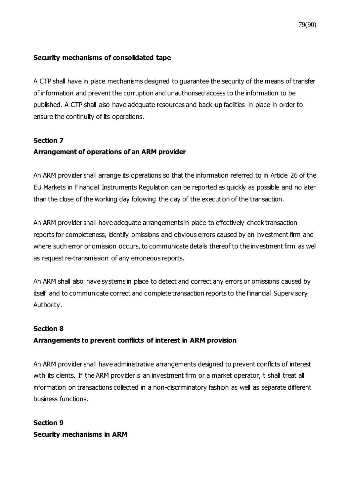### **Security mechanisms of consolidated tape**

A CTP shall have in place mechanisms designed to guarantee the security of the means of transfer of information and prevent the corruption and unauthorised access to the information to be published. A CTP shall also have adequate resources and back-up facilities in place in order to ensure the continuity of its operations.

### **Section 7**

### **Arrangement of operations of an ARM provider**

An ARM provider shall arrange its operations so that the information referred to in Article 26 of the EU Markets in Financial Instruments Regulation can be reported as quickly as possible and no later than the close of the working day following the day of the execution of the transaction.

An ARM provider shall have adequate arrangements in place to effectively check transaction reports for completeness, identify omissions and obvious errors caused by an investment firm and where such error or omission occurs, to communicate details thereof to the investment firm as well as request re-transmission of any erroneous reports.

An ARM shall also have systems in place to detect and correct any errors or omissions caused by itself and to communicate correct and complete transaction reports to the Financial Supervisory Authority.

### **Section 8**

### **Arrangements to prevent conflicts of interest in ARM provision**

An ARM provider shall have administrative arrangements designed to prevent conflicts of interest with its clients. If the ARM provider is an investment firm or a market operator, it shall treat all information on transactions collected in a non-discriminatory fashion as well as separate different business functions.

**Section 9 Security mechanisms in ARM**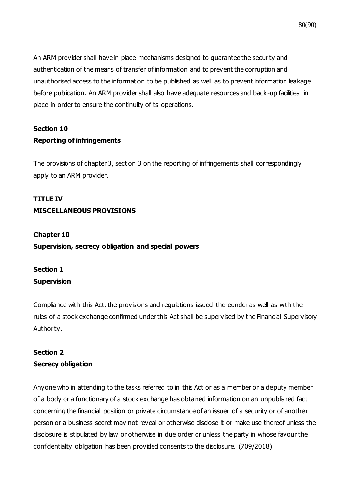An ARM provider shall have in place mechanisms designed to guarantee the security and authentication of the means of transfer of information and to prevent the corruption and unauthorised access to the information to be published as well as to prevent information leakage before publication. An ARM provider shall also have adequate resources and back-up facilities in place in order to ensure the continuity of its operations.

## **Section 10 Reporting of infringements**

The provisions of chapter 3, section 3 on the reporting of infringements shall correspondingly apply to an ARM provider.

# **TITLE IV MISCELLANEOUS PROVISIONS**

## **Chapter 10 Supervision, secrecy obligation and special powers**

### **Section 1 Supervision**

Compliance with this Act, the provisions and regulations issued thereunder as well as with the rules of a stock exchange confirmed under this Act shall be supervised by the Financial Supervisory Authority.

## **Section 2 Secrecy obligation**

Anyone who in attending to the tasks referred to in this Act or as a member or a deputy member of a body or a functionary of a stock exchange has obtained information on an unpublished fact concerning the financial position or private circumstance of an issuer of a security or of another person or a business secret may not reveal or otherwise disclose it or make use thereof unless the disclosure is stipulated by law or otherwise in due order or unless the party in whose favour the confidentiality obligation has been provided consents to the disclosure. (709/2018)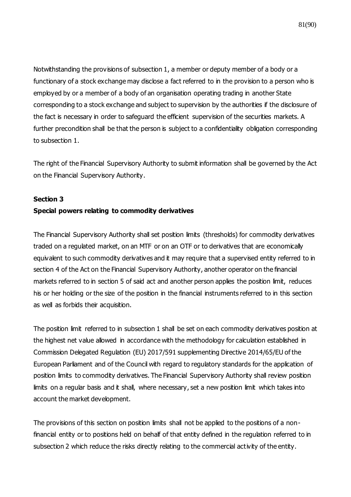Notwithstanding the provisions of subsection 1, a member or deputy member of a body or a functionary of a stock exchange may disclose a fact referred to in the provision to a person who is employed by or a member of a body of an organisation operating trading in another State corresponding to a stock exchange and subject to supervision by the authorities if the disclosure of the fact is necessary in order to safeguard the efficient supervision of the securities markets. A further precondition shall be that the person is subject to a confidentiality obligation corresponding to subsection 1.

The right of the Financial Supervisory Authority to submit information shall be governed by the Act on the Financial Supervisory Authority.

#### **Section 3**

#### **Special powers relating to commodity derivatives**

The Financial Supervisory Authority shall set position limits (thresholds) for commodity derivatives traded on a regulated market, on an MTF or on an OTF or to derivatives that are economically equivalent to such commodity derivatives and it may require that a supervised entity referred to in section 4 of the Act on the Financial Supervisory Authority, another operator on the financial markets referred to in section 5 of said act and another person applies the position limit, reduces his or her holding or the size of the position in the financial instruments referred to in this section as well as forbids their acquisition.

The position limit referred to in subsection 1 shall be set on each commodity derivatives position at the highest net value allowed in accordance with the methodology for calculation established in Commission Delegated Regulation (EU) 2017/591 supplementing Directive 2014/65/EU of the European Parliament and of the Council with regard to regulatory standards for the application of position limits to commodity derivatives. The Financial Supervisory Authority shall review position limits on a regular basis and it shall, where necessary, set a new position limit which takes into account the market development.

The provisions of this section on position limits shall not be applied to the positions of a nonfinancial entity or to positions held on behalf of that entity defined in the regulation referred to in subsection 2 which reduce the risks directly relating to the commercial activity of the entity.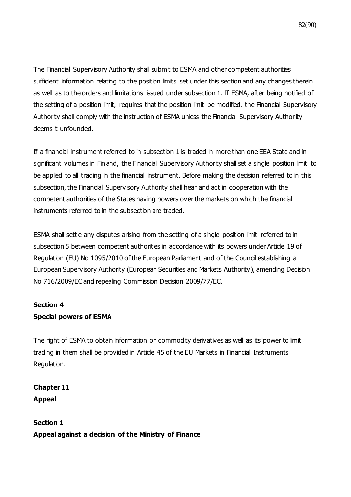The Financial Supervisory Authority shall submit to ESMA and other competent authorities sufficient information relating to the position limits set under this section and any changes therein as well as to the orders and limitations issued under subsection 1. If ESMA, after being notified of the setting of a position limit, requires that the position limit be modified, the Financial Supervisory Authority shall comply with the instruction of ESMA unless the Financial Supervisory Authority deems it unfounded.

If a financial instrument referred to in subsection 1 is traded in more than one EEA State and in significant volumes in Finland, the Financial Supervisory Authority shall set a single position limit to be applied to all trading in the financial instrument. Before making the decision referred to in this subsection, the Financial Supervisory Authority shall hear and act in cooperation with the competent authorities of the States having powers over the markets on which the financial instruments referred to in the subsection are traded.

ESMA shall settle any disputes arising from the setting of a single position limit referred to in subsection 5 between competent authorities in accordance with its powers under Article 19 of Regulation (EU) No 1095/2010 of the European Parliament and of the Council establishing a European Supervisory Authority (European Securities and Markets Authority), amending Decision No 716/2009/EC and repealing Commission Decision 2009/77/EC.

### **Section 4**

### **Special powers of ESMA**

The right of ESMA to obtain information on commodity derivatives as well as its power to limit trading in them shall be provided in Article 45 of the EU Markets in Financial Instruments Regulation.

**Chapter 11 Appeal**

**Section 1 Appeal against a decision of the Ministry of Finance**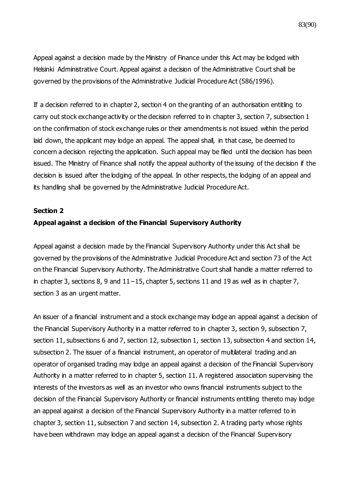83(90)

Appeal against a decision made by the Ministry of Finance under this Act may be lodged with Helsinki Administrative Court. Appeal against a decision of the Administrative Court shall be governed by the provisions of the Administrative Judicial Procedure Act (586/1996).

If a decision referred to in chapter 2, section 4 on the granting of an authorisation entitling to carry out stock exchange activity or the decision referred to in chapter 3, section 7, subsection 1 on the confirmation of stock exchange rules or their amendments is not issued within the period laid down, the applicant may lodge an appeal. The appeal shall, in that case, be deemed to concern a decision rejecting the application. Such appeal may be filed until the decision has been issued. The Ministry of Finance shall notify the appeal authority of the issuing of the decision if the decision is issued after the lodging of the appeal. In other respects, the lodging of an appeal and its handling shall be governed by the Administrative Judicial Procedure Act.

#### **Section 2**

#### **Appeal against a decision of the Financial Supervisory Authority**

Appeal against a decision made by the Financial Supervisory Authority under this Act shall be governed by the provisions of the Administrative Judicial Procedure Act and section 73 of the Act on the Financial Supervisory Authority. The Administrative Court shall handle a matter referred to in chapter 3, sections 8, 9 and 11−15, chapter 5, sections 11 and 19 as well as in chapter 7, section 3 as an urgent matter.

An issuer of a financial instrument and a stock exchange may lodge an appeal against a decision of the Financial Supervisory Authority in a matter referred to in chapter 3, section 9, subsection 7, section 11, subsections 6 and 7, section 12, subsection 1, section 13, subsection 4 and section 14, subsection 2. The issuer of a financial instrument, an operator of multilateral trading and an operator of organised trading may lodge an appeal against a decision of the Financial Supervisory Authority in a matter referred to in chapter 5, section 11. A registered association supervising the interests of the investors as well as an investor who owns financial instruments subject to the decision of the Financial Supervisory Authority or financial instruments entitling thereto may lodge an appeal against a decision of the Financial Supervisory Authority in a matter referred to in chapter 3, section 11, subsection 7 and section 14, subsection 2. A trading party whose rights have been withdrawn may lodge an appeal against a decision of the Financial Supervisory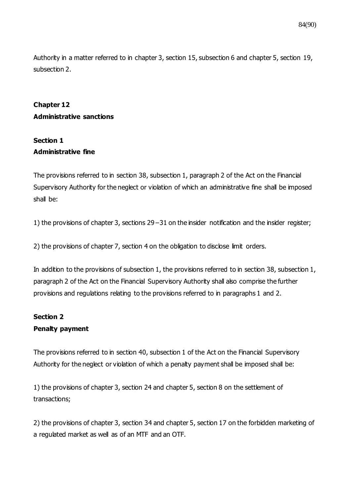Authority in a matter referred to in chapter 3, section 15, subsection 6 and chapter 5, section 19, subsection 2.

## **Chapter 12 Administrative sanctions**

### **Section 1 Administrative fine**

The provisions referred to in section 38, subsection 1, paragraph 2 of the Act on the Financial Supervisory Authority for the neglect or violation of which an administrative fine shall be imposed shall be:

1) the provisions of chapter 3, sections 29−31 on the insider notification and the insider register;

2) the provisions of chapter 7, section 4 on the obligation to disclose limit orders.

In addition to the provisions of subsection 1, the provisions referred to in section 38, subsection 1, paragraph 2 of the Act on the Financial Supervisory Authority shall also comprise the further provisions and regulations relating to the provisions referred to in paragraphs 1 and 2.

# **Section 2**

### **Penalty payment**

The provisions referred to in section 40, subsection 1 of the Act on the Financial Supervisory Authority for the neglect or violation of which a penalty payment shall be imposed shall be:

1) the provisions of chapter 3, section 24 and chapter 5, section 8 on the settlement of transactions;

2) the provisions of chapter 3, section 34 and chapter 5, section 17 on the forbidden marketing of a regulated market as well as of an MTF and an OTF.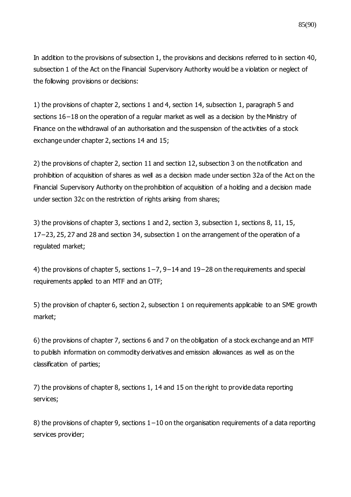In addition to the provisions of subsection 1, the provisions and decisions referred to in section 40, subsection 1 of the Act on the Financial Supervisory Authority would be a violation or neglect of the following provisions or decisions:

1) the provisions of chapter 2, sections 1 and 4, section 14, subsection 1, paragraph 5 and sections 16−18 on the operation of a regular market as well as a decision by the Ministry of Finance on the withdrawal of an authorisation and the suspension of the activities of a stock exchange under chapter 2, sections 14 and 15;

2) the provisions of chapter 2, section 11 and section 12, subsection 3 on the notification and prohibition of acquisition of shares as well as a decision made under section 32a of the Act on the Financial Supervisory Authority on the prohibition of acquisition of a holding and a decision made under section 32c on the restriction of rights arising from shares;

3) the provisions of chapter 3, sections 1 and 2, section 3, subsection 1, sections 8, 11, 15, 17−23, 25, 27 and 28 and section 34, subsection 1 on the arrangement of the operation of a regulated market;

4) the provisions of chapter 5, sections 1−7, 9−14 and 19−28 on the requirements and special requirements applied to an MTF and an OTF;

5) the provision of chapter 6, section 2, subsection 1 on requirements applicable to an SME growth market;

6) the provisions of chapter 7, sections 6 and 7 on the obligation of a stock exchange and an MTF to publish information on commodity derivatives and emission allowances as well as on the classification of parties;

7) the provisions of chapter 8, sections 1, 14 and 15 on the right to provide data reporting services;

8) the provisions of chapter 9, sections 1–10 on the organisation requirements of a data reporting services provider;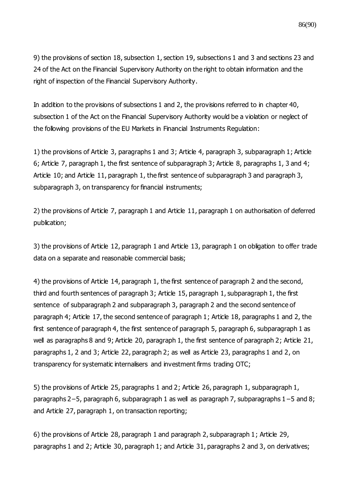9) the provisions of section 18, subsection 1, section 19, subsections 1 and 3 and sections 23 and 24 of the Act on the Financial Supervisory Authority on the right to obtain information and the right of inspection of the Financial Supervisory Authority.

In addition to the provisions of subsections 1 and 2, the provisions referred to in chapter 40, subsection 1 of the Act on the Financial Supervisory Authority would be a violation or neglect of the following provisions of the EU Markets in Financial Instruments Regulation:

1) the provisions of Article 3, paragraphs 1 and 3; Article 4, paragraph 3, subparagraph 1; Article 6; Article 7, paragraph 1, the first sentence of subparagraph 3; Article 8, paragraphs 1, 3 and 4; Article 10; and Article 11, paragraph 1, the first sentence of subparagraph 3 and paragraph 3, subparagraph 3, on transparency for financial instruments;

2) the provisions of Article 7, paragraph 1 and Article 11, paragraph 1 on authorisation of deferred publication;

3) the provisions of Article 12, paragraph 1 and Article 13, paragraph 1 on obligation to offer trade data on a separate and reasonable commercial basis;

4) the provisions of Article 14, paragraph 1, the first sentence of paragraph 2 and the second, third and fourth sentences of paragraph 3; Article 15, paragraph 1, subparagraph 1, the first sentence of subparagraph 2 and subparagraph 3, paragraph 2 and the second sentence of paragraph 4; Article 17, the second sentence of paragraph 1; Article 18, paragraphs 1 and 2, the first sentence of paragraph 4, the first sentence of paragraph 5, paragraph 6, subparagraph 1 as well as paragraphs 8 and 9; Article 20, paragraph 1, the first sentence of paragraph 2; Article 21, paragraphs 1, 2 and 3; Article 22, paragraph 2; as well as Article 23, paragraphs 1 and 2, on transparency for systematic internalisers and investment firms trading OTC;

5) the provisions of Article 25, paragraphs 1 and 2; Article 26, paragraph 1, subparagraph 1, paragraphs 2−5, paragraph 6, subparagraph 1 as well as paragraph 7, subparagraphs 1−5 and 8; and Article 27, paragraph 1, on transaction reporting;

6) the provisions of Article 28, paragraph 1 and paragraph 2, subparagraph 1; Article 29, paragraphs 1 and 2; Article 30, paragraph 1; and Article 31, paragraphs 2 and 3, on derivatives;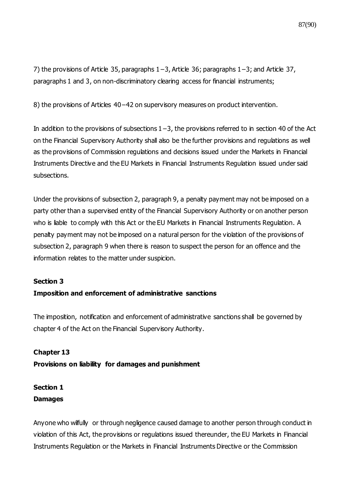7) the provisions of Article 35, paragraphs 1−3, Article 36; paragraphs 1−3; and Article 37, paragraphs 1 and 3, on non-discriminatory clearing access for financial instruments;

8) the provisions of Articles 40−42 on supervisory measures on product intervention.

In addition to the provisions of subsections 1−3, the provisions referred to in section 40 of the Act on the Financial Supervisory Authority shall also be the further provisions and regulations as well as the provisions of Commission regulations and decisions issued under the Markets in Financial Instruments Directive and the EU Markets in Financial Instruments Regulation issued under said subsections.

Under the provisions of subsection 2, paragraph 9, a penalty payment may not be imposed on a party other than a supervised entity of the Financial Supervisory Authority or on another person who is liable to comply with this Act or the EU Markets in Financial Instruments Regulation. A penalty payment may not be imposed on a natural person for the violation of the provisions of subsection 2, paragraph 9 when there is reason to suspect the person for an offence and the information relates to the matter under suspicion.

#### **Section 3**

### **Imposition and enforcement of administrative sanctions**

The imposition, notification and enforcement of administrative sanctions shall be governed by chapter 4 of the Act on the Financial Supervisory Authority.

# **Chapter 13 Provisions on liability for damages and punishment**

## **Section 1 Damages**

Anyone who wilfully or through negligence caused damage to another person through conduct in violation of this Act, the provisions or regulations issued thereunder, the EU Markets in Financial Instruments Regulation or the Markets in Financial Instruments Directive or the Commission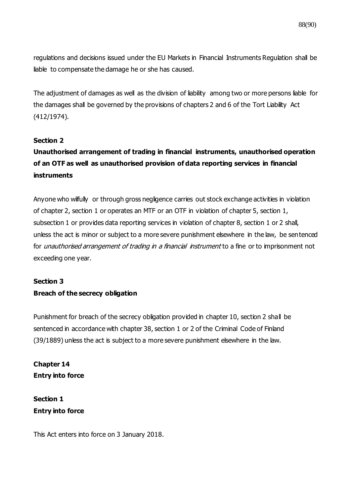regulations and decisions issued under the EU Markets in Financial Instruments Regulation shall be liable to compensate the damage he or she has caused.

The adjustment of damages as well as the division of liability among two or more persons liable for the damages shall be governed by the provisions of chapters 2 and 6 of the Tort Liability Act (412/1974).

### **Section 2**

# **Unauthorised arrangement of trading in financial instruments, unauthorised operation of an OTF as well as unauthorised provision of data reporting services in financial instruments**

Anyone who wilfully or through gross negligence carries out stock exchange activities in violation of chapter 2, section 1 or operates an MTF or an OTF in violation of chapter 5, section 1, subsection 1 or provides data reporting services in violation of chapter 8, section 1 or 2 shall, unless the act is minor or subject to a more severe punishment elsewhere in the law, be sentenced for *unauthorised arrangement of trading in a financial instrument* to a fine or to imprisonment not exceeding one year.

#### **Section 3**

### **Breach of the secrecy obligation**

Punishment for breach of the secrecy obligation provided in chapter 10, section 2 shall be sentenced in accordance with chapter 38, section 1 or 2 of the Criminal Code of Finland (39/1889) unless the act is subject to a more severe punishment elsewhere in the law.

**Chapter 14 Entry into force**

**Section 1 Entry into force**

This Act enters into force on 3 January 2018.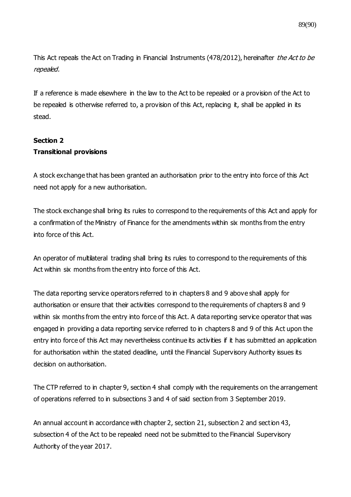89(90)

This Act repeals the Act on Trading in Financial Instruments (478/2012), hereinafter the Act to be repealed.

If a reference is made elsewhere in the law to the Act to be repealed or a provision of the Act to be repealed is otherwise referred to, a provision of this Act, replacing it, shall be applied in its stead.

### **Section 2 Transitional provisions**

A stock exchange that has been granted an authorisation prior to the entry into force of this Act need not apply for a new authorisation.

The stock exchange shall bring its rules to correspond to the requirements of this Act and apply for a confirmation of the Ministry of Finance for the amendments within six months from the entry into force of this Act.

An operator of multilateral trading shall bring its rules to correspond to the requirements of this Act within six months from the entry into force of this Act.

The data reporting service operators referred to in chapters 8 and 9 above shall apply for authorisation or ensure that their activities correspond to the requirements of chapters 8 and 9 within six months from the entry into force of this Act. A data reporting service operator that was engaged in providing a data reporting service referred to in chapters 8 and 9 of this Act upon the entry into force of this Act may nevertheless continue its activities if it has submitted an application for authorisation within the stated deadline, until the Financial Supervisory Authority issues its decision on authorisation.

The CTP referred to in chapter 9, section 4 shall comply with the requirements on the arrangement of operations referred to in subsections 3 and 4 of said section from 3 September 2019.

An annual account in accordance with chapter 2, section 21, subsection 2 and section 43, subsection 4 of the Act to be repealed need not be submitted to the Financial Supervisory Authority of the year 2017.